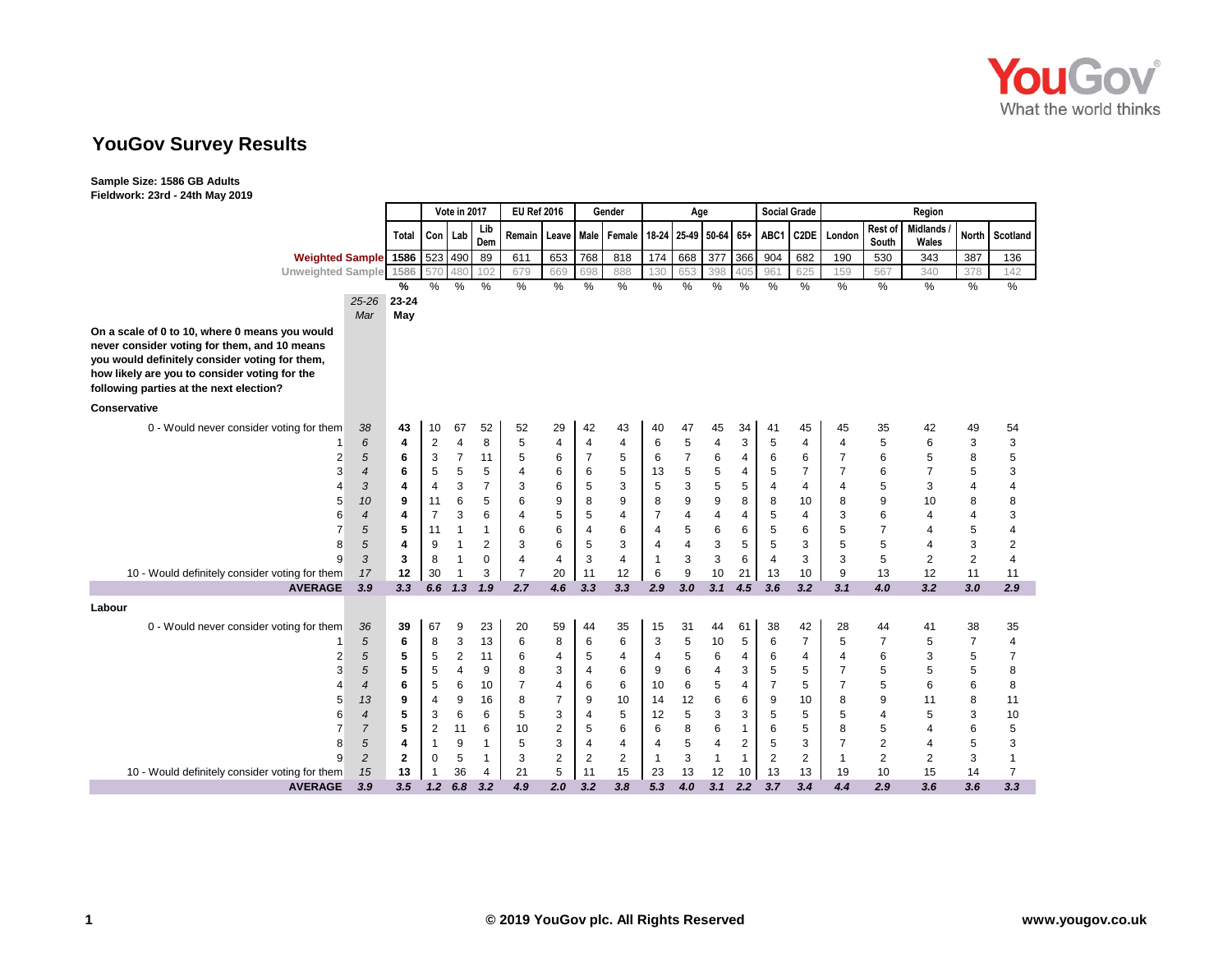

# **YouGov Survey Results**

| $1$ ICIUWOIK. ESIG - E-III MAY                                   |                  |              |                | Vote in 2017                     |                | <b>EU Ref 2016</b>               |                |                  | Gender         |                       | Age            |                |              | <b>Social Grade</b> |                     |                |                | Region          |                |                |
|------------------------------------------------------------------|------------------|--------------|----------------|----------------------------------|----------------|----------------------------------|----------------|------------------|----------------|-----------------------|----------------|----------------|--------------|---------------------|---------------------|----------------|----------------|-----------------|----------------|----------------|
|                                                                  |                  |              |                |                                  | Lib            |                                  |                |                  |                |                       |                |                |              |                     |                     |                | Rest of        | <b>Midlands</b> |                |                |
|                                                                  |                  | Total        | Con            | Lab                              | Dem            | Remain                           | <b>Leave</b>   | Male             | Female         | 18-24 25-49 50-64 65+ |                |                |              | ABC1                | C <sub>2</sub> DE   | London         | South          | Wales           | <b>North</b>   | Scotland       |
| <b>Weighted Sample</b>                                           |                  | 1586         | 523            | 490                              | 89             | 611                              | 653            | 768              | 818            | $\frac{1}{174}$       | 668            | 377            | 366          | 904                 | 682                 | 190            | 530            | 343             | 387            | 136            |
| <b>Unweighted Sample</b>                                         |                  | 1586         | 57C            | 480                              | 102            | 679                              | 669            | 698              | 888            | 130                   | 653            | 398            | 40           | 96'                 | 625                 | 159            | 567            | 340             | 378            | 142            |
|                                                                  |                  | %            | %              | $\%$                             | %              | $\%$                             | $\%$           | %                | %              | %                     | %              | $\%$           | %            | $\frac{0}{0}$       | $\%$                | $\%$           | $\%$           | $\%$            | $\%$           | $\%$           |
|                                                                  | $25 - 26$        | 23-24        |                |                                  |                |                                  |                |                  |                |                       |                |                |              |                     |                     |                |                |                 |                |                |
| On a scale of 0 to 10, where 0 means you would                   | Mar              | May          |                |                                  |                |                                  |                |                  |                |                       |                |                |              |                     |                     |                |                |                 |                |                |
| never consider voting for them, and 10 means                     |                  |              |                |                                  |                |                                  |                |                  |                |                       |                |                |              |                     |                     |                |                |                 |                |                |
| you would definitely consider voting for them,                   |                  |              |                |                                  |                |                                  |                |                  |                |                       |                |                |              |                     |                     |                |                |                 |                |                |
| how likely are you to consider voting for the                    |                  |              |                |                                  |                |                                  |                |                  |                |                       |                |                |              |                     |                     |                |                |                 |                |                |
| following parties at the next election?                          |                  |              |                |                                  |                |                                  |                |                  |                |                       |                |                |              |                     |                     |                |                |                 |                |                |
| Conservative                                                     |                  |              |                |                                  |                |                                  |                |                  |                |                       |                |                |              |                     |                     |                |                |                 |                |                |
| 0 - Would never consider voting for them                         | 38               | 43           | 10             | 67                               | 52             | 52                               | 29             | 42               | 43             | 40                    | 47             | 45             | 34           | 41                  | 45                  | 45             | 35             | 42              | 49             | 54             |
|                                                                  | 6                | 4            | 2              | $\overline{4}$                   | 8              | 5                                | 4              | $\overline{4}$   | $\overline{4}$ | 6                     | 5              | $\overline{4}$ | 3            | 5                   | $\overline{4}$      | $\overline{4}$ | 5              | 6               | 3              | 3              |
| 2                                                                | 5                | 6            | 3              | $\overline{7}$                   | 11             | 5                                | 6              | $\overline{7}$   | 5              | 6                     | $\overline{7}$ | 6              | 4            | 6                   | 6                   | $\overline{7}$ | 6              | 5               | 8              | 5              |
| 3                                                                | 4                | 6            | 5              | 5                                | 5              | 4                                | 6              | 6                | 5              | 13                    | 5              | 5              | 4            | 5                   | $\overline{7}$      | $\overline{7}$ | 6              | $\overline{7}$  | 5              | 3              |
| 4                                                                | 3                | 4            | 4              | 3                                | $\overline{7}$ | 3                                | 6              | 5                | 3              | 5                     | 3              | 5              | 5            | $\overline{4}$      | $\overline{4}$      | 4              | 5              | 3               | 4              | 4              |
| 5                                                                | 10               | 9            | 11             | 6                                | 5              | 6                                | 9              | 8                | 9              | 8                     | 9              | 9              | 8            | 8                   | 10                  | 8              | 9              | 10              | 8              | 8              |
| 6                                                                | $\overline{4}$   | 4            | $\overline{7}$ | 3                                | 6              | 4                                | 5              | 5                | $\overline{4}$ | 7                     | 4              | 4              | 4            | 5                   | 4                   | 3              | 6              | 4               |                | 3              |
| $\overline{7}$                                                   | 5                | 5            | 11             | $\mathbf{1}$                     | $\mathbf{1}$   | 6                                | 6              | 4                | 6              | 4                     | 5              | 6              | 6            | 5                   | 6                   | 5              | $\overline{7}$ | 4               | 5              | 4              |
| 8                                                                | 5                | 4            | 9              | $\mathbf{1}$                     | 2              | 3                                | 6              | 5                | 3              | 4                     | $\overline{4}$ | 3              | 5            | 5                   | 3                   | 5              | 5              | 4               | 3              | 2              |
| 9                                                                | 3                | 3            | 8              | $\mathbf{1}$                     | $\mathbf 0$    | $\overline{4}$<br>$\overline{7}$ | 4              | 3                | $\overline{4}$ | 1                     | 3              | 3              | 6            | $\overline{4}$      | 3                   | 3              | 5              | $\overline{2}$  | $\overline{2}$ | 4              |
| 10 - Would definitely consider voting for them<br><b>AVERAGE</b> | 17<br>3.9        | 12<br>3.3    | 30<br>6.6      | 1.3                              | 3<br>1.9       | 2.7                              | 20<br>4.6      | 11<br>3.3        | 12<br>3.3      | 6<br>2.9              | 9<br>3.0       | 10<br>3.1      | 21<br>4.5    | 13<br>3.6           | 10<br>3.2           | 9<br>3.1       | 13<br>4.0      | 12<br>3.2       | 11<br>3.0      | 11<br>2.9      |
| Labour                                                           |                  |              |                |                                  |                |                                  |                |                  |                |                       |                |                |              |                     |                     |                |                |                 |                |                |
|                                                                  |                  |              |                |                                  |                |                                  |                |                  |                |                       |                |                |              |                     |                     |                |                |                 |                |                |
| 0 - Would never consider voting for them                         | 36               | 39           | 67             | 9                                | 23             | 20                               | 59             | 44               | 35             | 15                    | 31             | 44             | 61           | 38                  | 42                  | 28             | 44             | 41              | 38             | 35             |
|                                                                  | 5                | 6            | 8              | 3                                | 13             | 6                                | 8              | 6                | 6              | 3                     | 5              | 10             | 5            | 6                   | $\overline{7}$      | 5              | $\overline{7}$ | 5               | $\overline{7}$ | 4              |
| 2<br>3                                                           | 5<br>5           | 5<br>5       | 5<br>5         | $\overline{c}$<br>$\overline{4}$ | 11<br>9        | 6<br>8                           | 4<br>3         | 5<br>4           | 4<br>6         | 4<br>9                | 5<br>6         | 6<br>4         | 4<br>3       | 6<br>5              | $\overline{4}$<br>5 | 4<br>7         | 6<br>5         | 3<br>5          | 5<br>5         | 7<br>8         |
| 4                                                                | 4                | 6            | 5              | 6                                | 10             | $\overline{7}$                   | 4              | 6                | 6              | 10                    | 6              | 5              | 4            | $\overline{7}$      | 5                   | $\overline{7}$ | 5              | 6               | 6              | 8              |
| 5                                                                | 13               | 9            | 4              | 9                                | 16             | 8                                | $\overline{7}$ | 9                | 10             | 14                    | 12             | 6              | 6            | 9                   | 10                  | 8              | 9              | 11              | 8              | 11             |
| 6                                                                | $\boldsymbol{4}$ | 5            | 3              | 6                                | 6              | 5                                | 3              | 4                | 5              | 12                    | 5              | 3              | 3            | 5                   | 5                   | 5              | 4              | 5               | 3              | 10             |
| $\overline{7}$                                                   | $\overline{7}$   | 5            | 2              | 11                               | 6              | 10                               | $\overline{2}$ | 5                | 6              | 6                     | 8              | 6              | $\mathbf{1}$ | 6                   | 5                   | 8              | 5              | $\overline{4}$  | 6              | 5              |
| 8                                                                | 5                | 4            | $\mathbf{1}$   | 9                                | -1             | 5                                | 3              | 4                | $\overline{4}$ | 4                     | 5              | 4              | 2            | 5                   | 3                   | $\overline{7}$ | $\overline{2}$ | 4               | 5              | 3              |
| 9                                                                | $\overline{c}$   | $\mathbf{2}$ | 0              | 5                                | $\mathbf{1}$   | 3                                | $\overline{2}$ | $\boldsymbol{2}$ | $\overline{2}$ | $\mathbf{1}$          | 3              | $\overline{1}$ | 1            | $\overline{2}$      | 2                   | 1              | $\overline{2}$ | $\overline{2}$  | 3              | 1              |
| 10 - Would definitely consider voting for them                   | 15               | 13           | $\mathbf{1}$   | 36                               | 4              | 21                               | 5              | 11               | 15             | 23                    | 13             | 12             | 10           | 13                  | 13                  | 19             | 10             | 15              | 14             | $\overline{7}$ |
| <b>AVERAGE</b>                                                   | 3.9              | 3.5          | 1.2            | 6.8                              | 3.2            | 4.9                              | 2.0            | 3.2              | 3.8            | 5.3                   | 4.0            | 3.1            | 2.2          | 3.7                 | 3.4                 | 4.4            | 2.9            | 3.6             | 3.6            | 3.3            |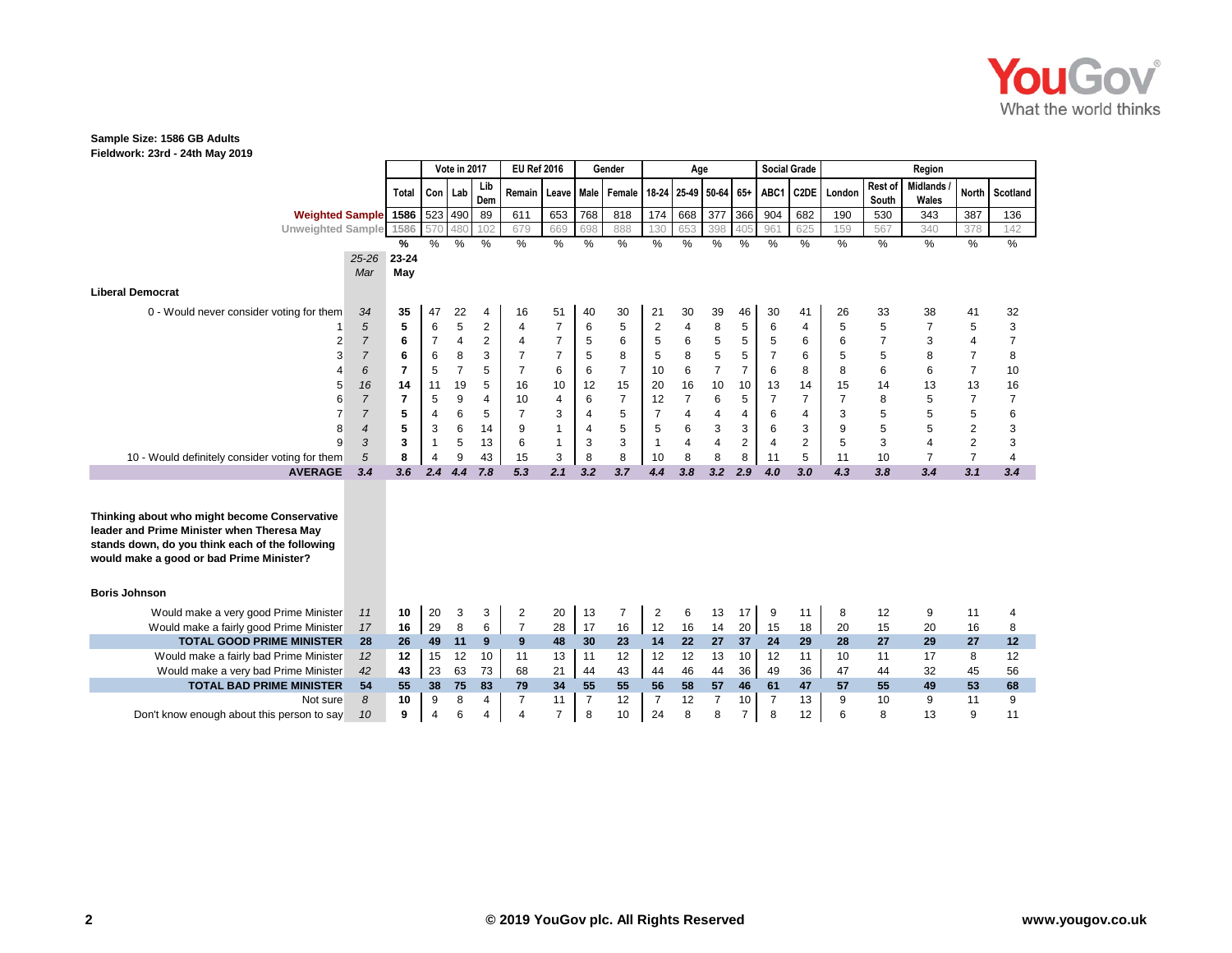

**Fieldwork: 23rd - 24th May 2019**

|                                                                                                                                                                                           |                |                |                | Vote in 2017   |                | <b>EU Ref 2016</b>                                                  |                |                | Gender         |                | Age            |                  |                  | <b>Social Grade</b> |                   |        |                  | Region                   |                |                  |
|-------------------------------------------------------------------------------------------------------------------------------------------------------------------------------------------|----------------|----------------|----------------|----------------|----------------|---------------------------------------------------------------------|----------------|----------------|----------------|----------------|----------------|------------------|------------------|---------------------|-------------------|--------|------------------|--------------------------|----------------|------------------|
|                                                                                                                                                                                           |                | <b>Total</b>   | Con   Lab      |                | Lib<br>Dem     | Remain   Leave   Male   Female   18-24   25-49   50-64   65+   ABC1 |                |                |                |                |                |                  |                  |                     | C <sub>2</sub> DE | London | Rest of<br>South | <b>Midlands</b><br>Wales |                | North Scotland   |
| <b>Weighted Sample</b> 1586                                                                                                                                                               |                |                |                | 523 490        | 89             | 611                                                                 | 653            | 768            | 818            | 174            | 668            | $\overline{377}$ | 366              | 904                 | 682               | 190    | 530              | 343                      | 387            | 136              |
| Unweighted Sample 1586                                                                                                                                                                    |                |                | 570            | 480            | 102            | 679                                                                 | 669            | 698            | 888            | 130            | 653            | 398              | 405              | 961                 | 625               | 159    | 567              | 340                      | 378            | 142              |
|                                                                                                                                                                                           |                | %              | $\%$           | %              | $\frac{0}{0}$  | %                                                                   | $\%$           | $\%$           | $\%$           | $\frac{9}{6}$  | %              | $\%$             | $\%$             | $\frac{0}{0}$       | $\%$              | $\%$   | $\%$             | $\frac{9}{6}$            | $\%$           | %                |
|                                                                                                                                                                                           | $25 - 26$      | $23 - 24$      |                |                |                |                                                                     |                |                |                |                |                |                  |                  |                     |                   |        |                  |                          |                |                  |
|                                                                                                                                                                                           | Mar            | May            |                |                |                |                                                                     |                |                |                |                |                |                  |                  |                     |                   |        |                  |                          |                |                  |
| <b>Liberal Democrat</b>                                                                                                                                                                   |                |                |                |                |                |                                                                     |                |                |                |                |                |                  |                  |                     |                   |        |                  |                          |                |                  |
| 0 - Would never consider voting for them                                                                                                                                                  | 34             | 35             | 47             | 22             | 4              | 16                                                                  | 51             | 40             | 30             | 21             | 30             | 39               | 46               | 30                  | 41                | 26     | 33               | 38                       | 41             | 32               |
|                                                                                                                                                                                           | 5              | 5              | 6              | 5              | 2              | $\overline{4}$                                                      | $\overline{7}$ | 6              | 5              | $\overline{c}$ | $\overline{4}$ | 8                | 5                | 6                   | 4                 | 5      | 5                | 7                        | 5              | 3                |
| 2                                                                                                                                                                                         | $\overline{7}$ | 6              | $\overline{7}$ | 4              | $\overline{c}$ | $\overline{4}$                                                      | $\overline{7}$ | 5              | 6              | 5              | 6              | 5                | 5                | 5                   | 6                 | 6      | $\overline{7}$   | 3                        | 4              | $\boldsymbol{7}$ |
| 3                                                                                                                                                                                         | $\overline{7}$ | 6              | 6              | 8              | 3              | 7                                                                   | $\overline{7}$ | 5              | 8              | 5              | 8              | 5                | 5                |                     | 6                 | 5      | 5                | 8                        | 7              | 8                |
|                                                                                                                                                                                           | 6              | $\overline{7}$ | 5              | $\overline{7}$ | 5              | $\overline{7}$                                                      | 6              | 6              | $\overline{7}$ | 10             | 6              | $\overline{7}$   | $\overline{7}$   | 6                   | 8                 | 8      | 6                | 6                        | $\overline{7}$ | 10               |
| 5                                                                                                                                                                                         | 16             | 14             | 11             | 19             | 5              | 16                                                                  | 10             | 12             | 15             | 20             | 16             | 10               | 10               | 13                  | 14                | 15     | 14               | 13                       | 13             | 16               |
| คิ                                                                                                                                                                                        | $\overline{7}$ | $\overline{7}$ | 5              | 9              | 4              | 10                                                                  | 4              | 6              | $\overline{7}$ | 12             | $\overline{7}$ | 6                | 5                |                     | $\overline{7}$    | 7      | 8                | 5                        | 7              | $\overline{7}$   |
|                                                                                                                                                                                           | $\overline{7}$ | 5              | 4              | 6              | 5              | $\overline{7}$                                                      | 3              | 4              | 5              |                | $\overline{4}$ | 4                | 4                | 6                   | 4                 | 3      | 5                | 5                        | 5              | 6                |
| 8                                                                                                                                                                                         | 4              | 5              | 3              | 6              | 14             | 9                                                                   | $\mathbf{1}$   | 4              | 5              | 5              | 6              | 3                | 3                | 6                   | 3                 | 9      | 5                | 5                        | 2              | 3                |
| 9                                                                                                                                                                                         | 3              | 3              | $\mathbf 1$    | 5              | 13             | 6                                                                   | $\mathbf{1}$   | 3              | 3              |                | $\overline{4}$ | $\overline{4}$   | $\boldsymbol{2}$ | 4                   | $\overline{2}$    | 5      | 3                | $\overline{\mathbf{4}}$  | 2              | 3                |
| 10 - Would definitely consider voting for them                                                                                                                                            | 5              | 8              | 4              | 9              | 43             | 15                                                                  | 3              | 8              | 8              | 10             | 8              | 8                | 8                | 11                  | 5                 | 11     | 10               | $\overline{7}$           | $\overline{7}$ | 4                |
| <b>AVERAGE</b>                                                                                                                                                                            | 3.4            | 3.6            | 2.4            | 4.4            | 7.8            | 5.3                                                                 | 2.1            | 3.2            | 3.7            | 4.4            | 3.8            | 3.2              | 2.9              | 4.0                 | 3.0               | 4.3    | 3.8              | 3.4                      | 3.1            | 3.4              |
| Thinking about who might become Conservative<br>leader and Prime Minister when Theresa May<br>stands down, do you think each of the following<br>would make a good or bad Prime Minister? |                |                |                |                |                |                                                                     |                |                |                |                |                |                  |                  |                     |                   |        |                  |                          |                |                  |
| <b>Boris Johnson</b>                                                                                                                                                                      |                |                |                |                |                |                                                                     |                |                |                |                |                |                  |                  |                     |                   |        |                  |                          |                |                  |
| Would make a very good Prime Minister                                                                                                                                                     | 11             | 10             | 20             | 3              | 3              | $\overline{c}$                                                      | 20             | 13             | $\overline{7}$ | 2              | 6              | 13               | 17 I             | 9                   | 11                | 8      | 12               | 9                        | 11             | 4                |
| Would make a fairly good Prime Minister                                                                                                                                                   | 17             | 16             | 29             | 8              | 6              | $\overline{7}$                                                      | 28             | 17             | 16             | 12             | 16             | 14               | 20               | 15                  | 18                | 20     | 15               | 20                       | 16             | 8                |
| <b>TOTAL GOOD PRIME MINISTER</b>                                                                                                                                                          | 28             | 26             | 49             | 11             | 9              | 9                                                                   | 48             | 30             | 23             | 14             | 22             | 27               | 37               | 24                  | 29                | 28     | 27               | 29                       | 27             | 12               |
| Would make a fairly bad Prime Minister                                                                                                                                                    | 12             | 12             | 15             | 12             | 10             | 11                                                                  | 13             | 11             | 12             | 12             | 12             | 13               | 10               | 12                  | 11                | 10     | 11               | 17                       | 8              | 12               |
| Would make a very bad Prime Minister                                                                                                                                                      | 42             | 43             | 23             | 63             | 73             | 68                                                                  | 21             | 44             | 43             | 44             | 46             | 44               | 36               | 49                  | 36                | 47     | 44               | 32                       | 45             | 56               |
| <b>TOTAL BAD PRIME MINISTER</b>                                                                                                                                                           | 54             | 55             | 38             | 75             | 83             | 79                                                                  | 34             | 55             | 55             | 56             | 58             | 57               | 46               | 61                  | 47                | 57     | 55               | 49                       | 53             | 68               |
| Not sure                                                                                                                                                                                  | 8              | 10             | 9              | 8              | 4              | $\overline{7}$                                                      | 11             | $\overline{7}$ | 12             | $\overline{7}$ | 12             | $\overline{7}$   | 10               | $\overline{7}$      | 13                | 9      | 10               | 9                        | 11             | 9                |
| Don't know enough about this person to say                                                                                                                                                | 10             | 9              | $\overline{4}$ | 6              | 4              | $\overline{4}$                                                      | $\overline{7}$ | 8              | 10             | 24             | 8              | 8                | 7                | 8                   | 12                | 6      | 8                | 13                       | 9              | 11               |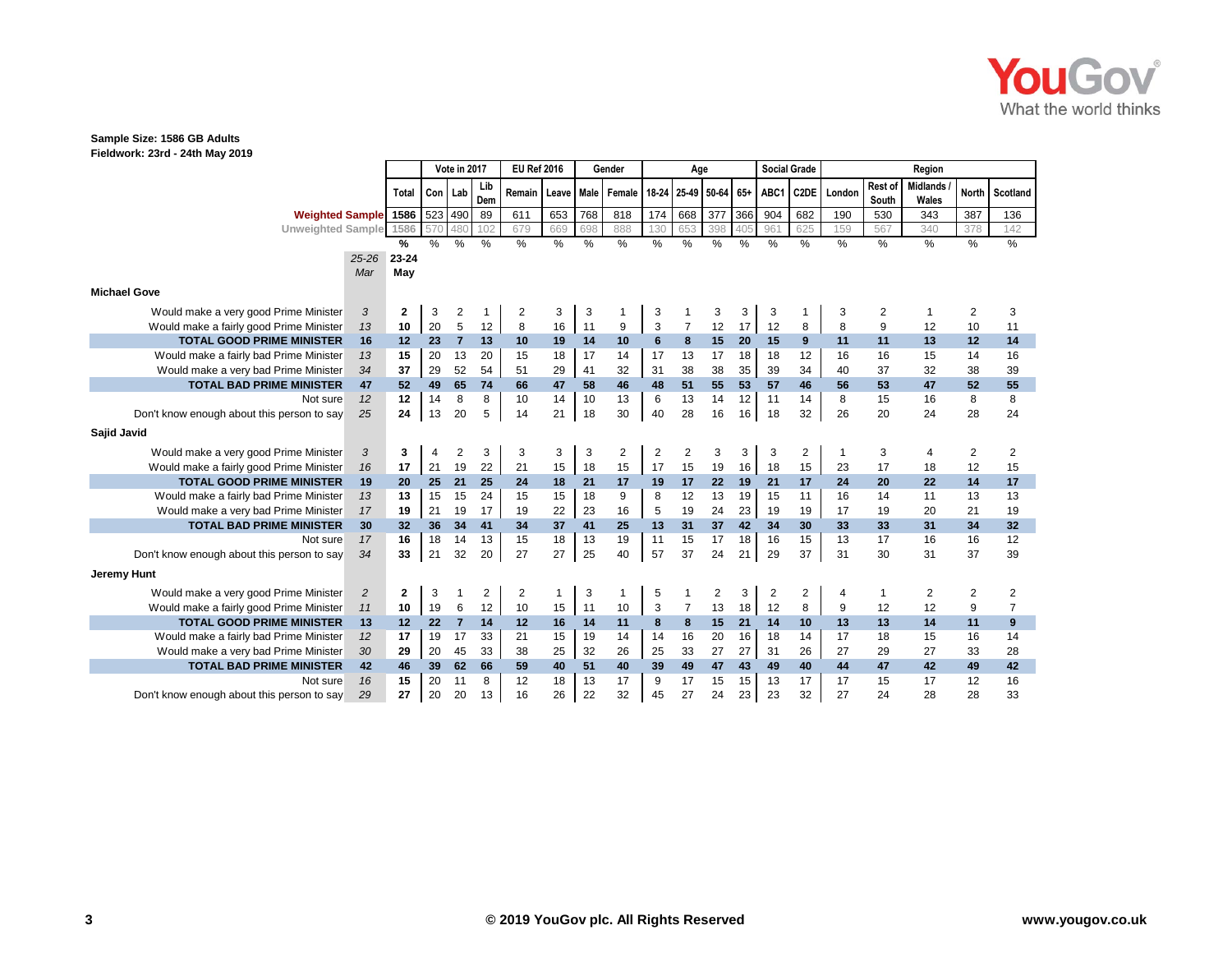

|                                            |                |                |     | Vote in 2017   |            | <b>EU Ref 2016</b> |       |      | Gender |      | Age            |                       |     | <b>Social Grade</b> |                   |        |                  | Region                   |              |                |
|--------------------------------------------|----------------|----------------|-----|----------------|------------|--------------------|-------|------|--------|------|----------------|-----------------------|-----|---------------------|-------------------|--------|------------------|--------------------------|--------------|----------------|
|                                            |                | Total          | Con | Lab            | Lib<br>Dem | Remain             | Leave | Male | Female |      |                | 18-24 25-49 50-64 65+ |     | ABC1                | C <sub>2</sub> DE | London | Rest of<br>South | <b>Midlands</b><br>Wales | <b>North</b> | Scotland       |
| <b>Weighted Sample</b>                     |                | 1586           | 523 | 490            | 89         | 611                | 653   | 768  | 818    | 174  | 668            | 377                   | 366 | 904                 | 682               | 190    | 530              | 343                      | 387          | 136            |
| <b>Unweighted Sample</b>                   |                | 1586           | 570 | 480            | 102        | 679                | 669   | 698  | 888    | 130  | 653            | 398                   | 405 | 96'                 | 625               | 159    | 567              | 340                      | 378          | 142            |
|                                            |                | %              | %   | %              | %          | %                  | %     | $\%$ | $\%$   | $\%$ | %              | %                     | %   | $\%$                | %                 | %      | %                | $\%$                     | $\%$         | %              |
|                                            | $25 - 26$      | 23-24          |     |                |            |                    |       |      |        |      |                |                       |     |                     |                   |        |                  |                          |              |                |
|                                            | Mar            | May            |     |                |            |                    |       |      |        |      |                |                       |     |                     |                   |        |                  |                          |              |                |
| <b>Michael Gove</b>                        |                |                |     |                |            |                    |       |      |        |      |                |                       |     |                     |                   |        |                  |                          |              |                |
| Would make a very good Prime Minister      | 3              | $\mathbf{2}$   | 3   | 2              |            | 2                  | 3     | 3    |        | 3    |                | 3                     | 3   | 3                   |                   | 3      | 2                |                          | 2            | 3              |
| Would make a fairly good Prime Minister    | 13             | 10             | 20  | $\mathbf 5$    | 12         | 8                  | 16    | 11   | 9      | 3    | $\overline{7}$ | 12                    | 17  | 12                  | 8                 | 8      | 9                | 12                       | 10           | 11             |
| <b>TOTAL GOOD PRIME MINISTER</b>           | 16             | 12             | 23  | $\overline{7}$ | 13         | 10                 | 19    | 14   | 10     | 6    | 8              | 15                    | 20  | 15                  | 9                 | 11     | 11               | 13                       | 12           | 14             |
| Would make a fairly bad Prime Minister     | 13             | 15             | 20  | 13             | 20         | 15                 | 18    | 17   | 14     | 17   | 13             | 17                    | 18  | 18                  | 12                | 16     | 16               | 15                       | 14           | 16             |
| Would make a very bad Prime Minister       | 34             | 37             | 29  | 52             | 54         | 51                 | 29    | 41   | 32     | 31   | 38             | 38                    | 35  | 39                  | 34                | 40     | 37               | 32                       | 38           | 39             |
| <b>TOTAL BAD PRIME MINISTER</b>            | 47             | 52             | 49  | 65             | 74         | 66                 | 47    | 58   | 46     | 48   | 51             | 55                    | 53  | 57                  | 46                | 56     | 53               | 47                       | 52           | 55             |
| Not sure                                   | 12             | 12             | 14  | 8              | 8          | 10                 | 14    | 10   | 13     | 6    | 13             | 14                    | 12  | 11                  | 14                | 8      | 15               | 16                       | 8            | 8              |
| Don't know enough about this person to say | 25             | 24             | 13  | 20             | 5          | 14                 | 21    | 18   | 30     | 40   | 28             | 16                    | 16  | 18                  | 32                | 26     | 20               | 24                       | 28           | 24             |
| Sajid Javid                                |                |                |     |                |            |                    |       |      |        |      |                |                       |     |                     |                   |        |                  |                          |              |                |
| Would make a very good Prime Minister      | 3              | 3              | 4   | 2              | 3          | 3                  | 3     | 3    | 2      | 2    | $\overline{c}$ | 3                     | 3   | 3                   | $\overline{2}$    | 1      | 3                | 4                        | 2            | 2              |
| Would make a fairly good Prime Minister    | 16             | 17             | 21  | 19             | 22         | 21                 | 15    | 18   | 15     | 17   | 15             | 19                    | 16  | 18                  | 15                | 23     | 17               | 18                       | 12           | 15             |
| <b>TOTAL GOOD PRIME MINISTER</b>           | 19             | 20             | 25  | 21             | 25         | 24                 | 18    | 21   | 17     | 19   | 17             | 22                    | 19  | 21                  | 17                | 24     | 20               | 22                       | 14           | 17             |
| Would make a fairly bad Prime Minister     | 13             | 13             | 15  | 15             | 24         | 15                 | 15    | 18   | 9      | 8    | 12             | 13                    | 19  | 15                  | 11                | 16     | 14               | 11                       | 13           | 13             |
| Would make a very bad Prime Minister       | 17             | 19             | 21  | 19             | 17         | 19                 | 22    | 23   | 16     | 5    | 19             | 24                    | 23  | 19                  | 19                | 17     | 19               | 20                       | 21           | 19             |
| <b>TOTAL BAD PRIME MINISTER</b>            | 30             | 32             | 36  | 34             | 41         | 34                 | 37    | 41   | 25     | 13   | 31             | 37                    | 42  | 34                  | 30                | 33     | 33               | 31                       | 34           | 32             |
| Not sure                                   | 17             | 16             | 18  | 14             | 13         | 15                 | 18    | 13   | 19     | 11   | 15             | 17                    | 18  | 16                  | 15                | 13     | 17               | 16                       | 16           | 12             |
| Don't know enough about this person to say | 34             | 33             | 21  | 32             | 20         | 27                 | 27    | 25   | 40     | 57   | 37             | 24                    | 21  | 29                  | 37                | 31     | 30               | 31                       | 37           | 39             |
| Jeremy Hunt                                |                |                |     |                |            |                    |       |      |        |      |                |                       |     |                     |                   |        |                  |                          |              |                |
| Would make a very good Prime Minister      | $\overline{c}$ | $\overline{2}$ | 3   | 1              | 2          | $\overline{2}$     | 1     | 3    |        | 5    |                | 2                     | 3   | 2                   | 2                 | 4      | 1                | 2                        | 2            | 2              |
| Would make a fairly good Prime Minister    | 11             | 10             | 19  | 6              | 12         | 10                 | 15    | 11   | 10     | 3    | $\overline{7}$ | 13                    | 18  | 12                  | 8                 | 9      | 12               | 12                       | 9            | $\overline{7}$ |
| <b>TOTAL GOOD PRIME MINISTER</b>           | 13             | 12             | 22  | $\overline{7}$ | 14         | 12                 | 16    | 14   | 11     | 8    | 8              | 15                    | 21  | 14                  | 10                | 13     | 13               | 14                       | 11           | 9              |
| Would make a fairly bad Prime Minister     | 12             | 17             | 19  | 17             | 33         | 21                 | 15    | 19   | 14     | 14   | 16             | 20                    | 16  | 18                  | 14                | 17     | 18               | 15                       | 16           | 14             |
| Would make a very bad Prime Minister       | 30             | 29             | 20  | 45             | 33         | 38                 | 25    | 32   | 26     | 25   | 33             | 27                    | 27  | 31                  | 26                | 27     | 29               | 27                       | 33           | 28             |
| <b>TOTAL BAD PRIME MINISTER</b>            | 42             | 46             | 39  | 62             | 66         | 59                 | 40    | 51   | 40     | 39   | 49             | 47                    | 43  | 49                  | 40                | 44     | 47               | 42                       | 49           | 42             |
| Not sure                                   | 16             | 15             | 20  | 11             | 8          | 12                 | 18    | 13   | 17     | 9    | 17             | 15                    | 15  | 13                  | 17                | 17     | 15               | 17                       | 12           | 16             |
| Don't know enough about this person to say | 29             | 27             | 20  | 20             | 13         | 16                 | 26    | 22   | 32     | 45   | 27             | 24                    | 23  | 23                  | 32                | 27     | 24               | 28                       | 28           | 33             |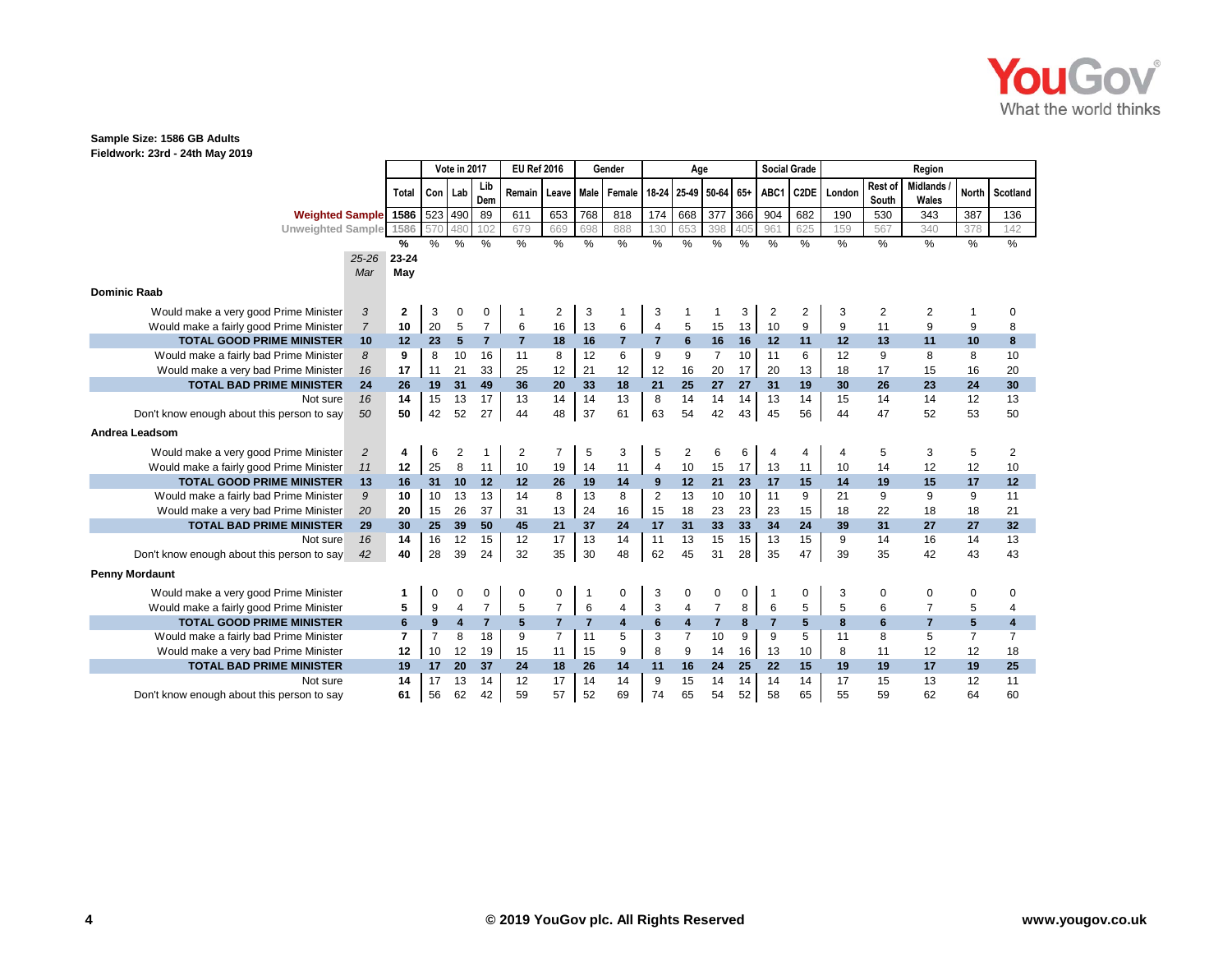

|                                            |                |                   |                | Vote in 2017   |                |                | <b>EU Ref 2016</b> |                | Gender         |                | Age            |                 |     | <b>Social Grade</b> |                   |        |                  | Region                   |                |                         |
|--------------------------------------------|----------------|-------------------|----------------|----------------|----------------|----------------|--------------------|----------------|----------------|----------------|----------------|-----------------|-----|---------------------|-------------------|--------|------------------|--------------------------|----------------|-------------------------|
|                                            |                | Total             | Con            | Lab            | Lib<br>Dem     | Remain         | Leave              | Male           | Female         | $18 - 24$      |                | 25-49 50-64 65+ |     | ABC1                | C <sub>2</sub> DE | London | Rest of<br>South | <b>Midlands</b><br>Wales | <b>North</b>   | Scotland                |
| Weighted Sample 1586   523                 |                |                   |                | 490            | 89             | 611            | 653                | 768            | 818            | 174            | 668            | 377             | 366 | 904                 | 682               | 190    | 530              | 343                      | 387            | 136                     |
| <b>Unweighted Sample</b>                   |                | 1586              | 57             | 480            | 102            | 679            | 669                | 698            | 888            | 130            | 653            | 398             | 405 | 961                 | 625               | 159    | 567              | 340                      | 378            | 142                     |
|                                            |                | %                 | %              | %              | %              | $\%$           | %                  | $\%$           | $\%$           | $\%$           | $\%$           | %               | %   | %                   | %                 | $\%$   | $\%$             | $\%$                     | %              | $\%$                    |
|                                            | $25 - 26$      | 23-24             |                |                |                |                |                    |                |                |                |                |                 |     |                     |                   |        |                  |                          |                |                         |
|                                            | Mar            | May               |                |                |                |                |                    |                |                |                |                |                 |     |                     |                   |        |                  |                          |                |                         |
| <b>Dominic Raab</b>                        |                |                   |                |                |                |                |                    |                |                |                |                |                 |     |                     |                   |        |                  |                          |                |                         |
| Would make a very good Prime Minister      | 3              | $\mathbf{2}$      | 3              | 0              | 0              |                | $\overline{c}$     | 3              |                | 3              |                |                 | 3   | 2                   | 2                 | 3      | 2                | 2                        |                | 0                       |
| Would make a fairly good Prime Minister    | $\overline{7}$ | 10                | 20             | 5              | $\overline{7}$ | 6              | 16                 | 13             | 6              | 4              | 5              | 15              | 13  | 10                  | 9                 | 9      | 11               | 9                        | 9              | 8                       |
| <b>TOTAL GOOD PRIME MINISTER</b>           | 10             | $12 \overline{ }$ | 23             | $5\phantom{.}$ | $\overline{7}$ | $\overline{7}$ | 18                 | 16             | $\overline{7}$ | $\overline{7}$ | $6\phantom{1}$ | 16              | 16  | 12                  | 11                | 12     | 13               | 11                       | 10             | 8                       |
| Would make a fairly bad Prime Minister     | 8              | 9                 | 8              | 10             | 16             | 11             | 8                  | 12             | 6              | 9              | 9              | $\overline{7}$  | 10  | 11                  | 6                 | 12     | 9                | 8                        | 8              | 10                      |
| Would make a very bad Prime Minister       | 16             | 17                | 11             | 21             | 33             | 25             | 12                 | 21             | 12             | 12             | 16             | 20              | 17  | 20                  | 13                | 18     | 17               | 15                       | 16             | 20                      |
| <b>TOTAL BAD PRIME MINISTER</b>            | 24             | 26                | 19             | 31             | 49             | 36             | 20                 | 33             | 18             | 21             | 25             | 27              | 27  | 31                  | 19                | 30     | 26               | 23                       | 24             | 30                      |
| Not sure                                   | 16             | 14                | 15             | 13             | 17             | 13             | 14                 | 14             | 13             | 8              | 14             | 14              | 14  | 13                  | 14                | 15     | 14               | 14                       | 12             | 13                      |
| Don't know enough about this person to say | 50             | 50                | 42             | 52             | 27             | 44             | 48                 | 37             | 61             | 63             | 54             | 42              | 43  | 45                  | 56                | 44     | 47               | 52                       | 53             | 50                      |
| Andrea Leadsom                             |                |                   |                |                |                |                |                    |                |                |                |                |                 |     |                     |                   |        |                  |                          |                |                         |
| Would make a very good Prime Minister      | $\overline{c}$ | 4                 | 6              | 2              | -1             | 2              | $\overline{7}$     | 5              | 3              | 5              | $\overline{2}$ | 6               | 6   | 4                   | 4                 | 4      | 5                | 3                        | 5              | 2                       |
| Would make a fairly good Prime Minister    | 11             | 12                | 25             | 8              | 11             | 10             | 19                 | 14             | 11             | 4              | 10             | 15              | 17  | 13                  | 11                | 10     | 14               | 12                       | 12             | 10                      |
| <b>TOTAL GOOD PRIME MINISTER</b>           | 13             | 16                | 31             | 10             | 12             | 12             | 26                 | 19             | 14             | 9              | 12             | 21              | 23  | 17                  | 15                | 14     | 19               | 15                       | 17             | 12                      |
| Would make a fairly bad Prime Minister     | 9              | 10                | 10             | 13             | 13             | 14             | 8                  | 13             | 8              | $\overline{2}$ | 13             | 10              | 10  | 11                  | 9                 | 21     | 9                | 9                        | 9              | 11                      |
| Would make a very bad Prime Minister       | 20             | 20                | 15             | 26             | 37             | 31             | 13                 | 24             | 16             | 15             | 18             | 23              | 23  | 23                  | 15                | 18     | 22               | 18                       | 18             | 21                      |
| <b>TOTAL BAD PRIME MINISTER</b>            | 29             | 30                | 25             | 39             | 50             | 45             | 21                 | 37             | 24             | 17             | 31             | 33              | 33  | 34                  | 24                | 39     | 31               | 27                       | 27             | 32                      |
| Not sure                                   | 16             | 14                | 16             | 12             | 15             | 12             | 17                 | 13             | 14             | 11             | 13             | 15              | 15  | 13                  | 15                | 9      | 14               | 16                       | 14             | 13                      |
| Don't know enough about this person to say | 42             | 40                | 28             | 39             | 24             | 32             | 35                 | 30             | 48             | 62             | 45             | 31              | 28  | 35                  | 47                | 39     | 35               | 42                       | 43             | 43                      |
| <b>Penny Mordaunt</b>                      |                |                   |                |                |                |                |                    |                |                |                |                |                 |     |                     |                   |        |                  |                          |                |                         |
| Would make a very good Prime Minister      |                | 1                 | 0              | 0              | 0              | 0              | 0                  |                | 0              | 3              | 0              | 0               | 0   |                     | 0                 | 3      | 0                | 0                        | 0              | 0                       |
| Would make a fairly good Prime Minister    |                | 5                 | 9              | 4              | $\overline{7}$ | 5              | $\overline{7}$     | 6              | 4              | 3              | 4              | $\overline{7}$  | 8   | 6                   | 5                 | 5      | 6                | $\overline{7}$           | 5              | 4                       |
| <b>TOTAL GOOD PRIME MINISTER</b>           |                | 6                 | 9              | 4              | $\overline{7}$ | 5              | $\overline{7}$     | $\overline{7}$ | 4              | 6              | $\overline{4}$ | $\overline{7}$  | 8   | 7                   | 5                 | 8      | $6\phantom{a}$   | $\overline{7}$           | 5 <sup>5</sup> | $\overline{\mathbf{4}}$ |
| Would make a fairly bad Prime Minister     |                | 7                 | $\overline{7}$ | 8              | 18             | 9              | $\overline{7}$     | 11             | 5              | 3              | $\overline{7}$ | 10              | 9   | 9                   | 5                 | 11     | 8                | 5                        | $\overline{7}$ | $\overline{7}$          |
| Would make a very bad Prime Minister       |                | 12                | 10             | 12             | 19             | 15             | 11                 | 15             | 9              | 8              | 9              | 14              | 16  | 13                  | 10                | 8      | 11               | 12                       | 12             | 18                      |
| <b>TOTAL BAD PRIME MINISTER</b>            |                | 19                | 17             | 20             | 37             | 24             | 18                 | 26             | 14             | 11             | 16             | 24              | 25  | 22                  | 15                | 19     | 19               | 17                       | 19             | 25                      |
| Not sure                                   |                | 14                | 17             | 13             | 14             | 12             | 17                 | 14             | 14             | 9              | 15             | 14              | 14  | 14                  | 14                | 17     | 15               | 13                       | 12             | 11                      |
| Don't know enough about this person to say |                | 61                | 56             | 62             | 42             | 59             | 57                 | 52             | 69             | 74             | 65             | 54              | 52  | 58                  | 65                | 55     | 59               | 62                       | 64             | 60                      |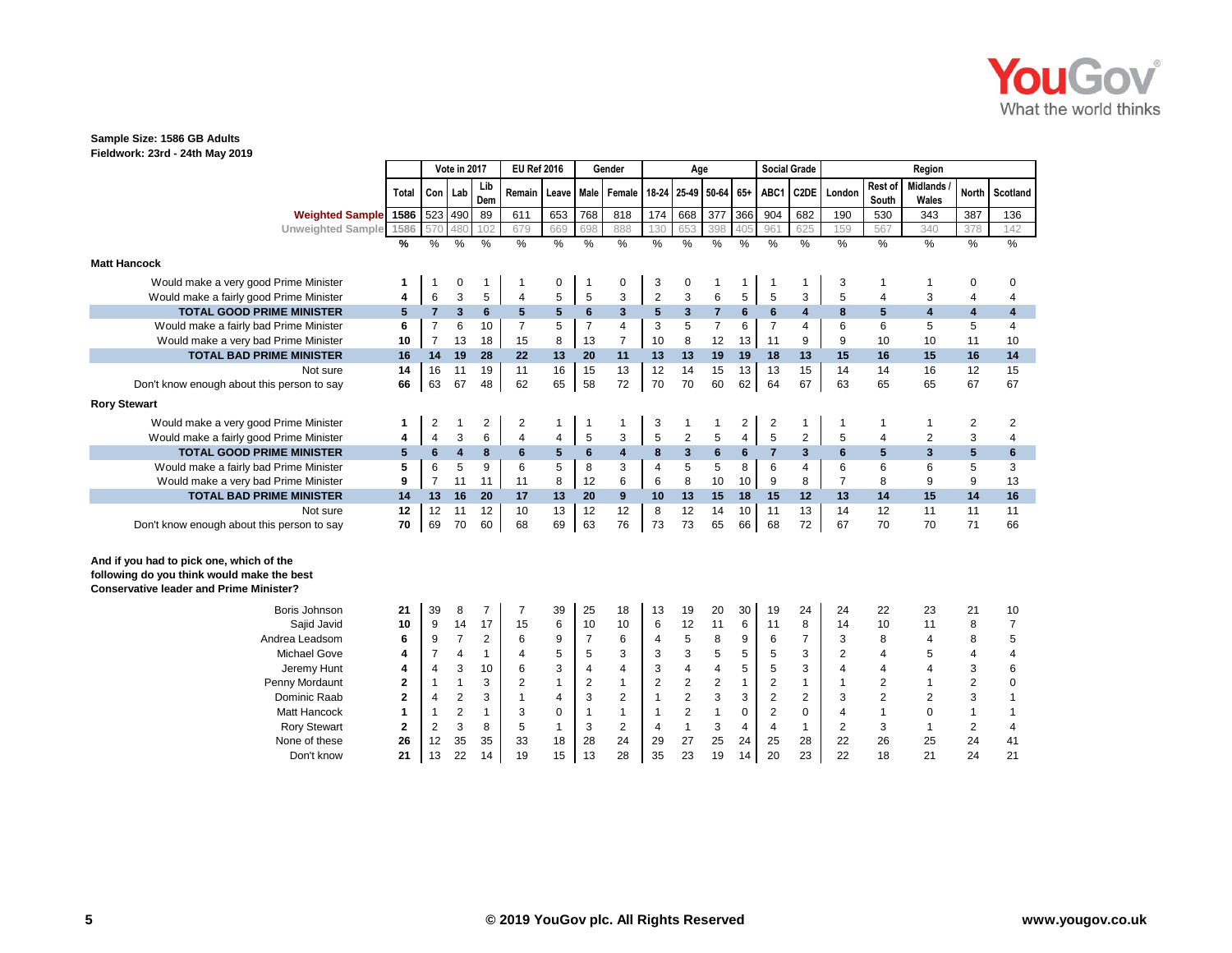

| Fieldwork: 23rd - 24th May 2019                                                                                                          |                         |                  |                         |                |                    |                 |                         |                         |                |                         |                       |                |                     |                   |                |                         |                          |               |                |
|------------------------------------------------------------------------------------------------------------------------------------------|-------------------------|------------------|-------------------------|----------------|--------------------|-----------------|-------------------------|-------------------------|----------------|-------------------------|-----------------------|----------------|---------------------|-------------------|----------------|-------------------------|--------------------------|---------------|----------------|
|                                                                                                                                          |                         |                  | Vote in 2017            |                | <b>EU Ref 2016</b> |                 |                         | Gender                  |                | Age                     |                       |                | <b>Social Grade</b> |                   |                |                         | Region                   |               |                |
|                                                                                                                                          | Total                   |                  | Con   Lab               | Lib<br>Dem     | Remain             | Leave Male      |                         | Female                  |                |                         | 18-24 25-49 50-64 65+ |                | ABC1                | C <sub>2</sub> DE | London         | <b>Rest of</b><br>South | <b>Midlands</b><br>Wales | <b>North</b>  | Scotland       |
| <b>Weighted Sample</b>                                                                                                                   | 1586                    |                  | 523 490                 | 89             | 611                | 653             | 768                     | 818                     | 174            | 668                     | 377                   | 366            | 904                 | 682               | 190            | 530                     | 343                      | 387           | 136            |
| <b>Unweighted Sample</b>                                                                                                                 | 1586                    | 570              | 480                     | 102            | 679                | 669             | 698                     | 888                     | 130            | 653                     | 398                   | 405            | 961                 | 625               | 159            | 567                     | 340                      | 378           | 142            |
|                                                                                                                                          | %                       | $\%$             | $\frac{0}{0}$           | $\frac{0}{0}$  | $\frac{9}{6}$      | $\%$            | $\%$                    | %                       | $\%$           | $\frac{0}{0}$           | $\%$                  | %              | $\frac{0}{0}$       | $\%$              | %              | $\%$                    | $\%$                     | $\frac{0}{0}$ | $\frac{0}{6}$  |
| <b>Matt Hancock</b>                                                                                                                      |                         |                  |                         |                |                    |                 |                         |                         |                |                         |                       |                |                     |                   |                |                         |                          |               |                |
| Would make a very good Prime Minister                                                                                                    | $\mathbf 1$             | 1                | 0                       | 1              |                    | 0               | $\mathbf 1$             | 0                       | 3              | 0                       | 1                     | 1              | $\mathbf 1$         | -1                | 3              | 1                       | 1                        | 0             | $\mathbf 0$    |
| Would make a fairly good Prime Minister                                                                                                  | $\overline{\mathbf{4}}$ | $\,6$            | 3                       | 5              | $\overline{4}$     | 5               | 5                       | 3                       | $\overline{2}$ | $\sqrt{3}$              | 6                     | 5              | 5                   | 3                 | 5              | 4                       | 3                        | 4             | 4              |
| <b>TOTAL GOOD PRIME MINISTER</b>                                                                                                         | 5                       | $\overline{7}$   | $\overline{\mathbf{3}}$ | 6              | 5                  | $5\phantom{.0}$ | 6                       | 3                       | 5              | 3                       | $\overline{7}$        | 6              | $6\phantom{1}$      | 4                 | 8              | 5                       | 4                        | 4             | 4              |
| Would make a fairly bad Prime Minister                                                                                                   | 6                       | $\overline{7}$   | 6                       | 10             | 7                  | 5               | $\overline{7}$          | $\overline{4}$          | 3              | 5                       | $\overline{7}$        | 6              | $\overline{7}$      | 4                 | 6              | 6                       | 5                        | 5             | 4              |
| Would make a very bad Prime Minister                                                                                                     | 10                      | $\overline{7}$   | 13                      | 18             | 15                 | 8               | 13                      | $\overline{7}$          | 10             | 8                       | 12                    | 13             | 11                  | 9                 | 9              | 10                      | 10                       | 11            | 10             |
| <b>TOTAL BAD PRIME MINISTER</b>                                                                                                          | 16                      | 14               | 19                      | 28             | 22                 | 13              | 20                      | 11                      | 13             | 13                      | 19                    | 19             | 18                  | 13                | 15             | 16                      | 15                       | 16            | 14             |
| Not sure                                                                                                                                 | 14                      | 16               | 11                      | 19             | 11                 | 16              | 15                      | 13                      | 12             | 14                      | 15                    | 13             | 13                  | 15                | 14             | 14                      | 16                       | 12            | 15             |
| Don't know enough about this person to say                                                                                               | 66                      | 63               | 67                      | 48             | 62                 | 65              | 58                      | 72                      | 70             | 70                      | 60                    | 62             | 64                  | 67                | 63             | 65                      | 65                       | 67            | 67             |
| <b>Rory Stewart</b>                                                                                                                      |                         |                  |                         |                |                    |                 |                         |                         |                |                         |                       |                |                     |                   |                |                         |                          |               |                |
| Would make a very good Prime Minister                                                                                                    | 1                       | 2                | 1                       | 2              | 2                  | $\mathbf{1}$    | 1                       | $\mathbf{1}$            | 3              | -1                      | 1                     | $\overline{2}$ | $\overline{2}$      | 1                 | -1             | $\mathbf{1}$            | 1                        | 2             | $\overline{2}$ |
| Would make a fairly good Prime Minister                                                                                                  | 4                       | 4                | 3                       | 6              | $\overline{4}$     | 4               | $\mathbf 5$             | 3                       | $\overline{5}$ | $\overline{\mathbf{c}}$ | 5                     | $\overline{4}$ | 5                   | $\overline{2}$    | 5              | 4                       | $\overline{2}$           | 3             | $\overline{4}$ |
| <b>TOTAL GOOD PRIME MINISTER</b>                                                                                                         | $5\phantom{.0}$         | $6\phantom{1}$   | $\overline{\mathbf{4}}$ | 8              | 6                  | $5\phantom{.0}$ | 6                       | $\overline{\mathbf{4}}$ | 8              | $\overline{\mathbf{3}}$ | $6\phantom{a}$        | 6              | $\overline{7}$      | $\overline{3}$    | 6              | 5                       | 3                        | 5             | $6\phantom{1}$ |
| Would make a fairly bad Prime Minister                                                                                                   | 5                       | 6                | 5                       | 9              | 6                  | 5               | 8                       | 3                       | $\overline{4}$ | 5                       | 5                     | 8              | 6                   | 4                 | 6              | 6                       | 6                        | 5             | 3              |
| Would make a very bad Prime Minister                                                                                                     | 9                       | $\overline{7}$   | 11                      | 11             | 11                 | 8               | 12                      | 6                       | 6              | 8                       | 10                    | 10             | 9                   | 8                 | $\overline{7}$ | 8                       | 9                        | 9             | 13             |
| <b>TOTAL BAD PRIME MINISTER</b>                                                                                                          | 14                      | 13               | 16                      | 20             | 17                 | 13              | 20                      | 9                       | 10             | 13                      | 15                    | 18             | 15                  | 12                | 13             | 14                      | 15                       | 14            | 16             |
| Not sure                                                                                                                                 | 12                      | 12               | 11                      | 12             | 10                 | 13              | 12                      | 12                      | 8              | 12                      | 14                    | 10             | 11                  | 13                | 14             | 12                      | 11                       | 11            | 11             |
| Don't know enough about this person to say                                                                                               | 70                      | 69               | 70                      | 60             | 68                 | 69              | 63                      | 76                      | 73             | 73                      | 65                    | 66             | 68                  | 72                | 67             | 70                      | 70                       | 71            | 66             |
| And if you had to pick one, which of the<br>following do you think would make the best<br><b>Conservative leader and Prime Minister?</b> |                         |                  |                         |                |                    |                 |                         |                         |                |                         |                       |                |                     |                   |                |                         |                          |               |                |
| Boris Johnson                                                                                                                            | 21                      | 39               | 8                       | $\overline{7}$ | $\overline{7}$     | 39              | 25                      | 18                      | 13             | 19                      | 20                    | 30             | 19                  | 24                | 24             | 22                      | 23                       | 21            | 10             |
| Sajid Javid                                                                                                                              | 10                      | 9                | 14                      | 17             | 15                 | 6               | 10                      | 10                      | 6              | 12                      | 11                    | 6              | 11                  | 8                 | 14             | 10                      | 11                       | 8             | $\overline{7}$ |
| Andrea Leadsom                                                                                                                           | 6                       | 9                | $\overline{7}$          | $\overline{2}$ | 6                  | 9               | $\overline{7}$          | 6                       | $\overline{4}$ | 5                       | 8                     | 9              | 6                   | 7                 | 3              | 8                       | $\overline{4}$           | 8             | 5              |
| Michael Gove                                                                                                                             | 4                       | $\overline{7}$   | 4                       | $\mathbf{1}$   | $\overline{4}$     | 5               | 5                       | 3                       | 3              | 3                       | 5                     | 5              | 5                   | 3                 | 2              | 4                       | 5                        | 4             | 4              |
| Jeremy Hunt                                                                                                                              | 4                       | 4                | 3                       | 10             | 6                  | 3               | $\overline{\mathbf{4}}$ | $\overline{4}$          | 3              | 4                       | 4                     | 5              | 5                   | 3                 | 4              | 4                       | $\overline{4}$           | 3             | 6              |
| Penny Mordaunt                                                                                                                           | $\mathbf 2$             | 1                | $\mathbf{1}$            | 3              | $\overline{2}$     | $\mathbf{1}$    | $\overline{2}$          | $\mathbf{1}$            | $\overline{2}$ | $\overline{2}$          | $\boldsymbol{2}$      | $\mathbf{1}$   | $\overline{2}$      | $\mathbf{1}$      | -1             | $\overline{2}$          | 1                        | 2             | $\mathbf 0$    |
| Dominic Raab                                                                                                                             | $\mathbf{2}$            | 4                | $\overline{2}$          | 3              | 1                  | $\overline{4}$  | 3                       | $\overline{2}$          | $\mathbf{1}$   | $\overline{2}$          | 3                     | 3              | $\overline{2}$      | $\overline{2}$    | 3              | $\overline{2}$          | $\overline{2}$           | 3             | 1              |
| Matt Hancock                                                                                                                             | $\mathbf{1}$            | 1                | $\overline{\mathbf{c}}$ | $\mathbf{1}$   | 3                  | 0               | $\mathbf{1}$            | $\mathbf{1}$            | $\mathbf{1}$   | $\overline{\mathbf{c}}$ | $\mathbf{1}$          | $\mathbf 0$    | $\overline{2}$      | $\pmb{0}$         | 4              | $\mathbf{1}$            | 0                        | $\mathbf{1}$  | 1              |
| <b>Rory Stewart</b>                                                                                                                      | $\mathbf{2}$            | $\boldsymbol{2}$ | 3                       | 8              | 5                  | $\mathbf{1}$    | 3                       | $\overline{2}$          | $\overline{4}$ | $\overline{1}$          | 3                     | $\overline{4}$ | $\overline{4}$      | $\mathbf{1}$      | 2              | 3                       | $\mathbf{1}$             | 2             | 4              |
| None of these                                                                                                                            | 26                      | 12               | 35                      | 35             | 33                 | 18              | 28                      | 24                      | 29             | 27                      | 25                    | 24             | 25                  | 28                | 22             | 26                      | 25                       | 24            | 41             |
| Don't know                                                                                                                               | 21                      | 13               | 22                      | 14             | 19                 | 15              | 13                      | 28                      | 35             | 23                      | 19                    | 14             | 20                  | 23                | 22             | 18                      | 21                       | 24            | 21             |
|                                                                                                                                          |                         |                  |                         |                |                    |                 |                         |                         |                |                         |                       |                |                     |                   |                |                         |                          |               |                |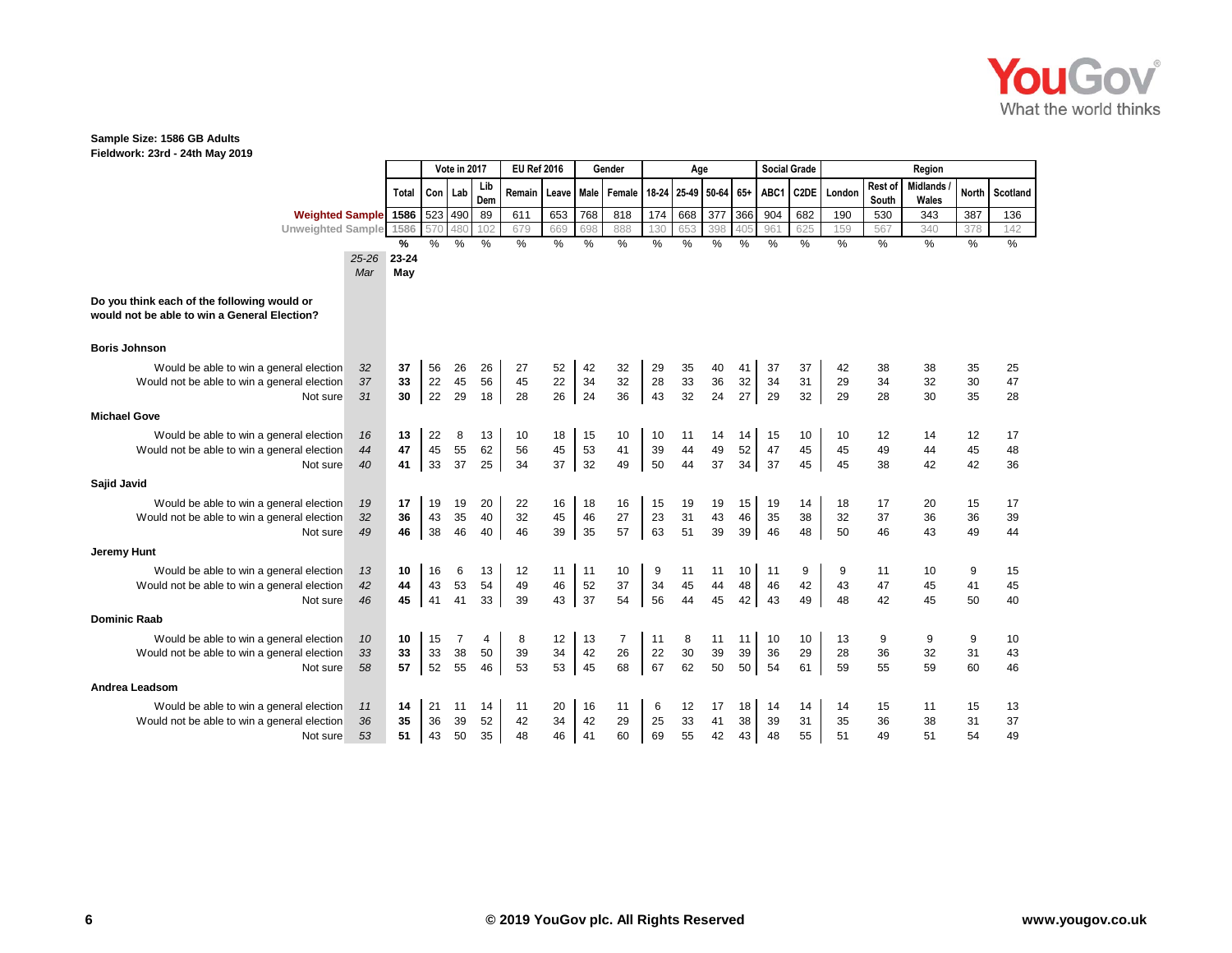

|                                                                                             |       | Vote in 2017 |           |               | <b>EU Ref 2016</b> |        |       | Gender        |               | Age   |             |      |       | <b>Social Grade</b> |                   |        | Region           |                          |              |          |
|---------------------------------------------------------------------------------------------|-------|--------------|-----------|---------------|--------------------|--------|-------|---------------|---------------|-------|-------------|------|-------|---------------------|-------------------|--------|------------------|--------------------------|--------------|----------|
|                                                                                             |       | Total        | Con   Lab |               | Lib<br>Dem         | Remain | Leave | Male          | Female        | 18-24 | 25-49 50-64 |      | $65+$ | ABC1                | C <sub>2</sub> DE | London | Rest of<br>South | <b>Midlands</b><br>Wales | <b>North</b> | Scotland |
| <b>Weighted Sample</b> 1586                                                                 |       |              | 523       | 490           | 89                 | 611    | 653   | 768           | 818           | 174   | 668         | 377  | 366   | 904                 | 682               | 190    | 530              | 343                      | 387          | 136      |
| Unweighted Sample 1586                                                                      |       |              | 570       | 480           | 102                | 679    | 669   | 698           | 888           | 130   | 653         | 398  | 405   | 961                 | 625               | 159    | 567              | 340                      | 378          | 142      |
|                                                                                             |       | %            | %         | $\frac{0}{0}$ | %                  | %      | $\%$  | $\frac{0}{0}$ | $\frac{0}{0}$ | $\%$  | $\%$        | $\%$ | $\%$  | $\frac{0}{0}$       | $\%$              | $\%$   | $\%$             | $\%$                     | $\%$         | $\%$     |
|                                                                                             | 25-26 | 23-24        |           |               |                    |        |       |               |               |       |             |      |       |                     |                   |        |                  |                          |              |          |
|                                                                                             | Mar   | May          |           |               |                    |        |       |               |               |       |             |      |       |                     |                   |        |                  |                          |              |          |
| Do you think each of the following would or<br>would not be able to win a General Election? |       |              |           |               |                    |        |       |               |               |       |             |      |       |                     |                   |        |                  |                          |              |          |
| <b>Boris Johnson</b>                                                                        |       |              |           |               |                    |        |       |               |               |       |             |      |       |                     |                   |        |                  |                          |              |          |
| Would be able to win a general election                                                     | 32    | 37           | 56        | 26            | 26                 | 27     | 52    | 42            | 32            | 29    | 35          | 40   |       | 37                  | 37                | 42     | 38               | 38                       | 35           | 25       |
| Would not be able to win a general election                                                 | 37    | 33           | 22        | 45            | 56                 | 45     | 22    | 34            | 32            | 28    | 33          | 36   | 32    | 34                  | 31                | 29     | 34               | 32                       | 30           | 47       |
| Not sure                                                                                    | 31    | 30           | 22        | 29            | 18                 | 28     | 26    | 24            | 36            | 43    | 32          | 24   | 27    | 29                  | 32                | 29     | 28               | 30                       | 35           | 28       |
| <b>Michael Gove</b>                                                                         |       |              |           |               |                    |        |       |               |               |       |             |      |       |                     |                   |        |                  |                          |              |          |
| Would be able to win a general election                                                     | 16    | 13           | 22        | 8             | 13                 | 10     | 18    | 15            | 10            | 10    | 11          | 14   | 14    | 15                  | 10                | 10     | 12               | 14                       | 12           | 17       |
| Would not be able to win a general election                                                 | 44    | 47           | 45        | 55            | 62                 | 56     | 45    | 53            | 41            | 39    | 44          | 49   | 52    | 47                  | 45                | 45     | 49               | 44                       | 45           | 48       |
| Not sure                                                                                    | 40    | 41           | 33        | 37            | 25                 | 34     | 37    | 32            | 49            | 50    | 44          | 37   | 34    | 37                  | 45                | 45     | 38               | 42                       | 42           | 36       |
| Sajid Javid                                                                                 |       |              |           |               |                    |        |       |               |               |       |             |      |       |                     |                   |        |                  |                          |              |          |
| Would be able to win a general election                                                     | 19    | 17           | 19        | 19            | 20                 | 22     | 16    | 18            | 16            | 15    | 19          | 19   | 15    | 19                  | 14                | 18     | 17               | 20                       | 15           | 17       |
| Would not be able to win a general election                                                 | 32    | 36           | 43        | 35            | 40                 | 32     | 45    | 46            | 27            | 23    | 31          | 43   | 46    | 35                  | 38                | 32     | 37               | 36                       | 36           | 39       |
| Not sure                                                                                    | 49    | 46           | 38        | 46            | 40                 | 46     | 39    | 35            | 57            | 63    | 51          | 39   | 39    | 46                  | 48                | 50     | 46               | 43                       | 49           | 44       |
| <b>Jeremy Hunt</b>                                                                          |       |              |           |               |                    |        |       |               |               |       |             |      |       |                     |                   |        |                  |                          |              |          |
| Would be able to win a general election                                                     | 13    | 10           | 16        | 6             | 13                 | 12     | 11    | 11            | 10            | 9     | 11          | 11   | 10    | 11                  | 9                 | 9      | 11               | 10                       | 9            | 15       |
| Would not be able to win a general election                                                 | 42    | 44           | 43        | 53            | 54                 | 49     | 46    | 52            | 37            | 34    | 45          | 44   | 48    | 46                  | 42                | 43     | 47               | 45                       | 41           | 45       |
| Not sure                                                                                    | 46    | 45           | 41        | 41            | 33                 | 39     | 43    | 37            | 54            | 56    | 44          | 45   | 42    | 43                  | 49                | 48     | 42               | 45                       | 50           | 40       |
| <b>Dominic Raab</b>                                                                         |       |              |           |               |                    |        |       |               |               |       |             |      |       |                     |                   |        |                  |                          |              |          |
| Would be able to win a general election                                                     | 10    | 10           | 15        | 7             | 4                  | 8      | 12    | 13            | 7             | 11    | 8           | 11   | 11    | 10                  | 10                | 13     | 9                | 9                        | 9            | 10       |
| Would not be able to win a general election                                                 | 33    | 33           | 33        | 38            | 50                 | 39     | 34    | 42            | 26            | 22    | 30          | 39   | 39    | 36                  | 29                | 28     | 36               | 32                       | 31           | 43       |
| Not sure                                                                                    | 58    | 57           | 52        | 55            | 46                 | 53     | 53    | 45            | 68            | 67    | 62          | 50   | 50    | 54                  | 61                | 59     | 55               | 59                       | 60           | 46       |
| Andrea Leadsom                                                                              |       |              |           |               |                    |        |       |               |               |       |             |      |       |                     |                   |        |                  |                          |              |          |
| Would be able to win a general election                                                     | 11    | 14           | 21        | 11            | 14                 | 11     | 20    | 16            | 11            | 6     | 12          | 17   | 18    | 14                  | 14                | 14     | 15               | 11                       | 15           | 13       |
| Would not be able to win a general election                                                 | 36    | 35           | 36        | 39            | 52                 | 42     | 34    | 42            | 29            | 25    | 33          | 41   | 38    | 39                  | 31                | 35     | 36               | 38                       | 31           | 37       |
| Not sure                                                                                    | 53    | 51           | 43        | 50            | 35                 | 48     | 46    | 41            | 60            | 69    | 55          | 42   | 43    | 48                  | 55                | 51     | 49               | 51                       | 54           | 49       |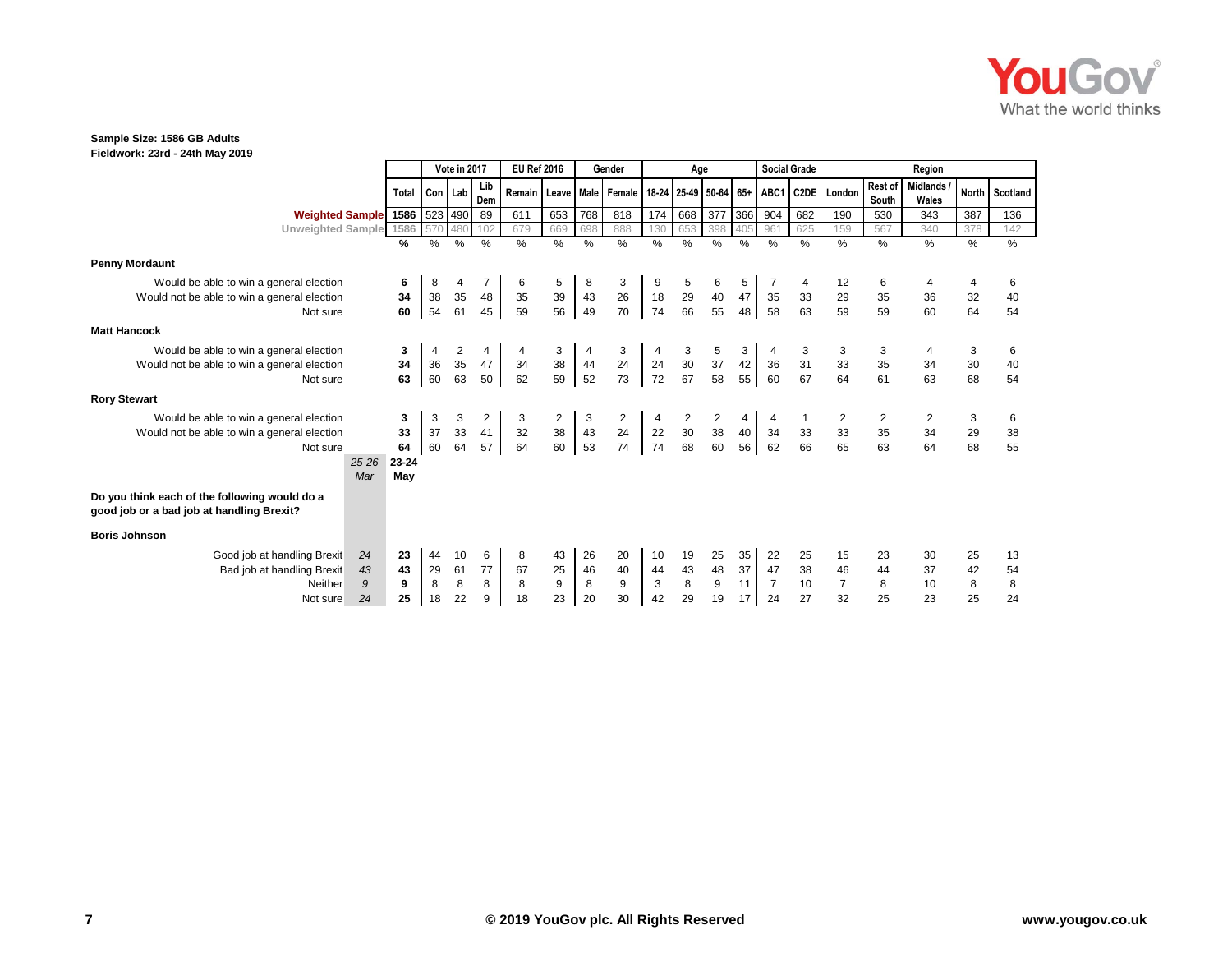

|                                                                                            |              |           | Vote in 2017 |                | <b>EU Ref 2016</b> |                  |      | Gender                |          | Age      |                      |               | <b>Social Grade</b> |      |                |                  | Region            |       |          |
|--------------------------------------------------------------------------------------------|--------------|-----------|--------------|----------------|--------------------|------------------|------|-----------------------|----------|----------|----------------------|---------------|---------------------|------|----------------|------------------|-------------------|-------|----------|
|                                                                                            | <b>Total</b> | Con   Lab |              | Lib<br>Dem     | Remain             |                  |      | Leave   Male   Female | 18-24    |          | 25-49 50-64 65+ ABC1 |               |                     |      | C2DE London    | Rest of<br>South | Midlands<br>Wales | North | Scotland |
| <b>Weighted Sample</b> 1586                                                                |              |           | 523 490      | 89             | 611                | 653              | 768  | 818                   | 174      | 668      | 377                  | 366           | 904                 | 682  | 190            | 530              | 343               | 387   | 136      |
| Unweighted Sample 1586                                                                     |              | 570       | 480          | 102            | 679                | 669              | 698  | 888                   | 130      | 653      | 398                  | 405           | 961                 | 625  | 159            | 567              | 340               | 378   | 142      |
|                                                                                            | %            | %         | %            | %              | $\%$               | $\%$             | $\%$ | $\%$                  | $\%$     | $\%$     | $\%$                 | $\frac{0}{0}$ | $\%$                | $\%$ | $\%$           | $\%$             | $\%$              | $\%$  | $\%$     |
| <b>Penny Mordaunt</b>                                                                      |              |           |              |                |                    |                  |      |                       |          |          |                      |               |                     |      |                |                  |                   |       |          |
| Would be able to win a general election                                                    | 6            | 8         |              |                | 6                  | 5                | 8    | 3                     |          | 5        |                      | 5             |                     |      | 12             | 6                |                   | 4     | 6        |
| Would not be able to win a general election                                                | 34           | 38        | 35           | 48             | 35                 | 39               | 43   | 26                    | 18       | 29       | 40                   | 47            | 35                  | 33   | 29             | 35               | 36                | 32    | 40       |
| Not sure                                                                                   | 60           | 54        | 61           | 45             | 59                 | 56               | 49   | 70                    | 74       | 66       | 55                   | 48            | 58                  | 63   | 59             | 59               | 60                | 64    | 54       |
| <b>Matt Hancock</b>                                                                        |              |           |              |                |                    |                  |      |                       |          |          |                      |               |                     |      |                |                  |                   |       |          |
| Would be able to win a general election                                                    | 3            |           | 2            |                |                    | 3                |      | 3                     |          | 3        |                      | 3             |                     |      |                |                  |                   | 3     | 6        |
| Would not be able to win a general election                                                | 34           | 36        | 35           | 47             | 34                 | 38<br>59         | 44   | 24                    | 24<br>72 | 30<br>67 | $37\,$               | 42            | 36                  | 31   | 33             | 35               | 34                | 30    | 40       |
| Not sure                                                                                   | 63           | 60        | 63           | 50             | 62                 |                  | 52   | 73                    |          |          | 58                   | 55            | 60                  | 67   | 64             | 61               | 63                | 68    | 54       |
| <b>Rory Stewart</b>                                                                        |              |           |              |                |                    |                  |      |                       |          |          |                      |               |                     |      |                |                  |                   |       |          |
| Would be able to win a general election                                                    | 3            | 3         | 3            | $\overline{2}$ | 3                  | $\overline{2}$   | 3    | $\overline{2}$        |          |          | 2                    |               |                     |      |                |                  |                   | 3     | 6        |
| Would not be able to win a general election                                                | 33           | 37        | 33           | 41             | 32                 | 38<br>60         | 43   | 24                    | 22       | 30       | $38\,$               | 40            | 34                  | 33   | 33             | 35               | 34                | 29    | 38       |
| Not sure                                                                                   | 64           | 60        | 64           | 57             | 64                 |                  | 53   | 74                    | 74       | 68       | 60                   | 56            | 62                  | 66   | 65             | 63               | 64                | 68    | 55       |
| $25 - 26$                                                                                  | 23-24        |           |              |                |                    |                  |      |                       |          |          |                      |               |                     |      |                |                  |                   |       |          |
| Mar                                                                                        | May          |           |              |                |                    |                  |      |                       |          |          |                      |               |                     |      |                |                  |                   |       |          |
| Do you think each of the following would do a<br>good job or a bad job at handling Brexit? |              |           |              |                |                    |                  |      |                       |          |          |                      |               |                     |      |                |                  |                   |       |          |
| <b>Boris Johnson</b>                                                                       |              |           |              |                |                    |                  |      |                       |          |          |                      |               |                     |      |                |                  |                   |       |          |
| Good job at handling Brexit<br>24                                                          | 23           | 44        | 10           | 6              | 8                  | 43               | 26   | 20                    | 10       | 19       | 25                   | 35            | 22                  | 25   | 15             | 23               | 30                | 25    | 13       |
| Bad job at handling Brexit<br>43                                                           | 43           | 29        | 61           | 77             | 67                 | 25               | 46   | 40                    | 44       | 43       | 48                   | 37            | 47                  | 38   | 46             | 44               | 37                | 42    | 54       |
| 9<br>Neither                                                                               | 9            | 8         | 8            | 8              | 8                  | $\boldsymbol{9}$ | 8    | 9                     | 3        | $\bf 8$  | 9                    | 11            | $\overline{7}$      | 10   | $\overline{7}$ | 8                | 10                | 8     | 8        |
| 24<br>Not sure                                                                             | 25           | 18        | 22           | 9              | 18                 | 23               | 20   | 30                    | 42       | 29       | 19                   | 17            | 24                  | 27   | 32             | 25               | 23                | 25    | 24       |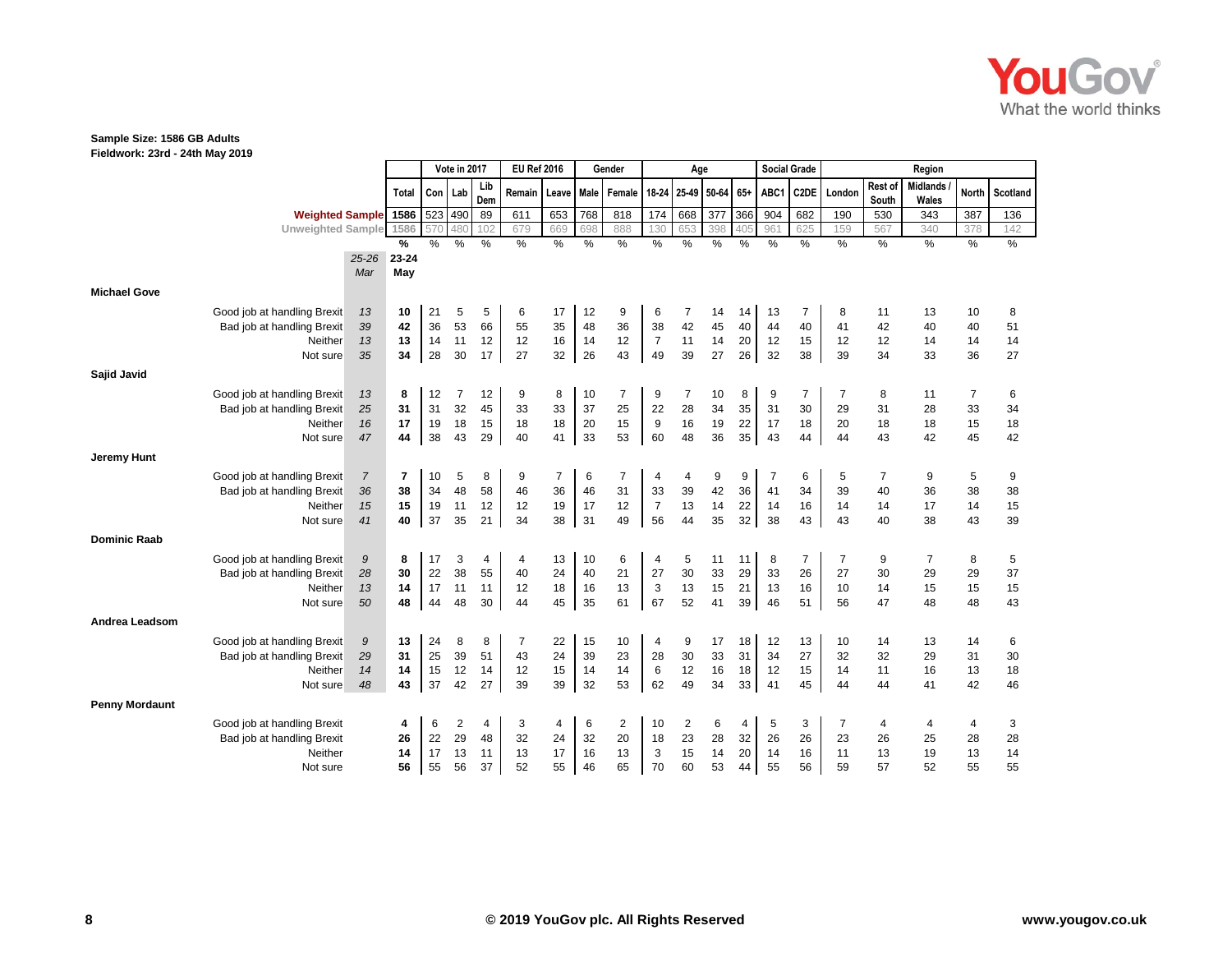

**Fieldwork: 23rd - 24th May 2019**

|                       |                                       |                | Vote in 2017 |          | <b>EU Ref 2016</b> |               |                | Gender         |               | Age            |                      |          |          | <b>Social Grade</b> |          |                | Region         |                  |                          |                |          |
|-----------------------|---------------------------------------|----------------|--------------|----------|--------------------|---------------|----------------|----------------|---------------|----------------|----------------------|----------|----------|---------------------|----------|----------------|----------------|------------------|--------------------------|----------------|----------|
|                       |                                       |                | <b>Total</b> | Con      | Lab                | Lib<br>Dem    | Remain         | Leave          | Male          | Female         | 18-24                | 25-49    | 50-64    | $65+$               | ABC1     | C2DE           | London         | Rest of<br>South | <b>Midlands</b><br>Wales | <b>North</b>   | Scotland |
|                       | Weighted Sample 1586                  |                |              | 523      | 490                | 89            | 611            | 653            | 768           | 818            | 174                  | 668      | 377      | 366                 | 904      | 682            | 190            | 530              | 343                      | 387            | 136      |
|                       | <b>Unweighted Sample</b>              |                | 1586         | 57C      | 480                | 102           | 679            | 669            | 698           | 888            | 130                  | 653      | 398      | 405                 | 961      | 625            | 159            | 567              | 340                      | 378            | 142      |
|                       |                                       |                | %            | $\%$     | %                  | $\frac{0}{0}$ | $\%$           | $\%$           | $\frac{0}{0}$ | $\frac{9}{6}$  | %                    | $\%$     | $\%$     | $\frac{0}{0}$       | $\%$     | $\%$           | $\%$           | $\frac{0}{0}$    | $\%$                     | $\%$           | $\%$     |
|                       |                                       | $25 - 26$      | 23-24        |          |                    |               |                |                |               |                |                      |          |          |                     |          |                |                |                  |                          |                |          |
|                       |                                       | Mar            | May          |          |                    |               |                |                |               |                |                      |          |          |                     |          |                |                |                  |                          |                |          |
| <b>Michael Gove</b>   |                                       |                |              |          |                    |               |                |                |               |                |                      |          |          |                     |          |                |                |                  |                          |                |          |
|                       | Good job at handling Brexit           | 13             | 10           | 21       | 5                  | 5             | 6              | 17             | 12            | 9              | 6                    | 7        | 14       | 14                  | 13       | $\overline{7}$ | 8              | 11               | 13                       | 10             | 8        |
|                       | Bad job at handling Brexit            | 39             | 42           | 36       | 53                 | 66            | 55             | 35             | 48            | 36             | 38                   | 42       | 45       | 40                  | 44       | 40             | 41             | 42               | 40                       | 40             | 51       |
|                       | Neither                               | 13             | 13           | 14       | 11                 | 12            | 12             | 16             | 14            | 12             | $\overline{7}$       | 11       | 14       | 20                  | 12       | 15             | 12             | 12               | 14                       | 14             | 14       |
|                       | Not sure                              | 35             | 34           | 28       | 30                 | 17            | 27             | 32             | 26            | 43             | 49                   | 39       | 27       | 26                  | 32       | 38             | 39             | 34               | 33                       | 36             | 27       |
| Sajid Javid           |                                       |                |              |          |                    |               |                |                |               |                |                      |          |          |                     |          |                |                |                  |                          |                |          |
|                       | Good job at handling Brexit           | 13             | 8            | 12       | 7                  | 12            | 9              | 8              | 10            | 7              | 9                    | 7        | 10       | 8                   | 9        | 7              | 7              | 8                | 11                       | $\overline{7}$ | 6        |
|                       | Bad job at handling Brexit            | 25             | 31           | 31       | 32                 | 45            | 33             | 33             | 37            | 25             | 22                   | 28       | 34       | 35                  | 31       | 30             | 29             | 31               | 28                       | 33             | 34       |
|                       | Neither                               | 16             | 17           | 19       | 18                 | 15            | 18             | 18             | 20            | 15             | 9                    | 16       | 19       | 22                  | 17       | 18             | 20             | 18               | 18                       | 15             | 18       |
|                       | Not sure                              | 47             | 44           | 38       | 43                 | 29            | 40             | 41             | 33            | 53             | 60                   | 48       | 36       | 35                  | 43       | 44             | 44             | 43               | 42                       | 45             | 42       |
| <b>Jeremy Hunt</b>    |                                       |                |              |          |                    |               |                |                |               |                |                      |          |          |                     |          |                |                |                  |                          |                |          |
|                       |                                       |                |              |          |                    |               |                |                |               |                |                      |          |          |                     |          |                |                |                  |                          |                |          |
|                       | Good job at handling Brexit           | $\overline{7}$ | 7            | 10       | 5                  | 8             | 9              | $\overline{7}$ | 6             | 7              | 4                    | 4        | 9        | 9                   | 7        | 6              | 5              | 7                | 9                        | 5              | 9        |
|                       | Bad job at handling Brexit<br>Neither | 36             | 38<br>15     | 34<br>19 | 48<br>11           | 58<br>12      | 46<br>12       | 36<br>19       | 46<br>17      | 31<br>12       | 33<br>$\overline{7}$ | 39<br>13 | 42<br>14 | 36<br>22            | 41<br>14 | 34<br>16       | 39<br>14       | 40<br>14         | 36<br>17                 | 38<br>14       | 38<br>15 |
|                       | Not sure                              | 15<br>41       | 40           | 37       | 35                 | 21            | 34             | 38             | 31            | 49             | 56                   | 44       | 35       | 32                  | 38       | 43             | 43             | 40               | 38                       | 43             | 39       |
|                       |                                       |                |              |          |                    |               |                |                |               |                |                      |          |          |                     |          |                |                |                  |                          |                |          |
| <b>Dominic Raab</b>   |                                       |                |              |          |                    |               |                |                |               |                |                      |          |          |                     |          |                |                |                  |                          |                |          |
|                       | Good job at handling Brexit           | 9              | 8            | 17       | 3                  | 4             | 4              | 13             | 10            | 6              | 4                    | 5        | 11       | 11                  | 8        | $\overline{7}$ | $\overline{7}$ | 9                | $\overline{7}$           | 8              | 5        |
|                       | Bad job at handling Brexit            | 28             | 30           | 22       | 38                 | 55            | 40             | 24             | 40            | 21             | 27                   | 30       | 33       | 29                  | 33       | 26             | 27             | 30               | 29                       | 29             | 37       |
|                       | Neither                               | 13             | 14           | 17       | 11                 | 11            | 12             | 18             | 16            | 13             | 3                    | 13       | 15       | 21                  | 13       | 16             | 10             | 14               | 15                       | 15             | 15       |
|                       | Not sure                              | 50             | 48           | 44       | 48                 | 30            | 44             | 45             | 35            | 61             | 67                   | 52       | 41       | 39                  | 46       | 51             | 56             | 47               | 48                       | 48             | 43       |
| Andrea Leadsom        |                                       |                |              |          |                    |               |                |                |               |                |                      |          |          |                     |          |                |                |                  |                          |                |          |
|                       | Good job at handling Brexit           | 9              | 13           | 24       | 8                  | 8             | $\overline{7}$ | 22             | 15            | 10             | 4                    | 9        | 17       | 18                  | 12       | 13             | 10             | 14               | 13                       | 14             | 6        |
|                       | Bad job at handling Brexit            | 29             | 31           | 25       | 39                 | 51            | 43             | 24             | 39            | 23             | 28                   | 30       | 33       | 31                  | 34       | 27             | 32             | 32               | 29                       | 31             | 30       |
|                       | Neither                               | 14             | 14           | 15       | 12                 | 14            | 12             | 15             | 14            | 14             | 6                    | 12       | 16       | 18                  | 12       | 15             | 14             | 11               | 16                       | 13             | 18       |
|                       | Not sure                              | 48             | 43           | 37       | 42                 | 27            | 39             | 39             | 32            | 53             | 62                   | 49       | 34       | 33                  | 41       | 45             | 44             | 44               | 41                       | 42             | 46       |
| <b>Penny Mordaunt</b> |                                       |                |              |          |                    |               |                |                |               |                |                      |          |          |                     |          |                |                |                  |                          |                |          |
|                       | Good job at handling Brexit           |                | 4            | 6        | 2                  | 4             | 3              | 4              | 6             | $\overline{2}$ | 10                   | 2        | 6        | 4                   | 5        | 3              | $\overline{7}$ | 4                | 4                        | 4              | 3        |
|                       | Bad job at handling Brexit            |                | 26           | 22       | 29                 | 48            | 32             | 24             | 32            | 20             | 18                   | 23       | 28       | 32                  | 26       | 26             | 23             | 26               | 25                       | 28             | 28       |
|                       | Neither                               |                | 14           | 17       | 13                 | 11            | 13             | 17             | 16            | 13             | 3                    | 15       | 14       | 20                  | 14       | 16             | 11             | 13               | 19                       | 13             | 14       |
|                       | Not sure                              |                | 56           | 55       | 56                 | 37            | 52             | 55             | 46            | 65             | 70                   | 60       | 53       | 44                  | 55       | 56             | 59             | 57               | 52                       | 55             | 55       |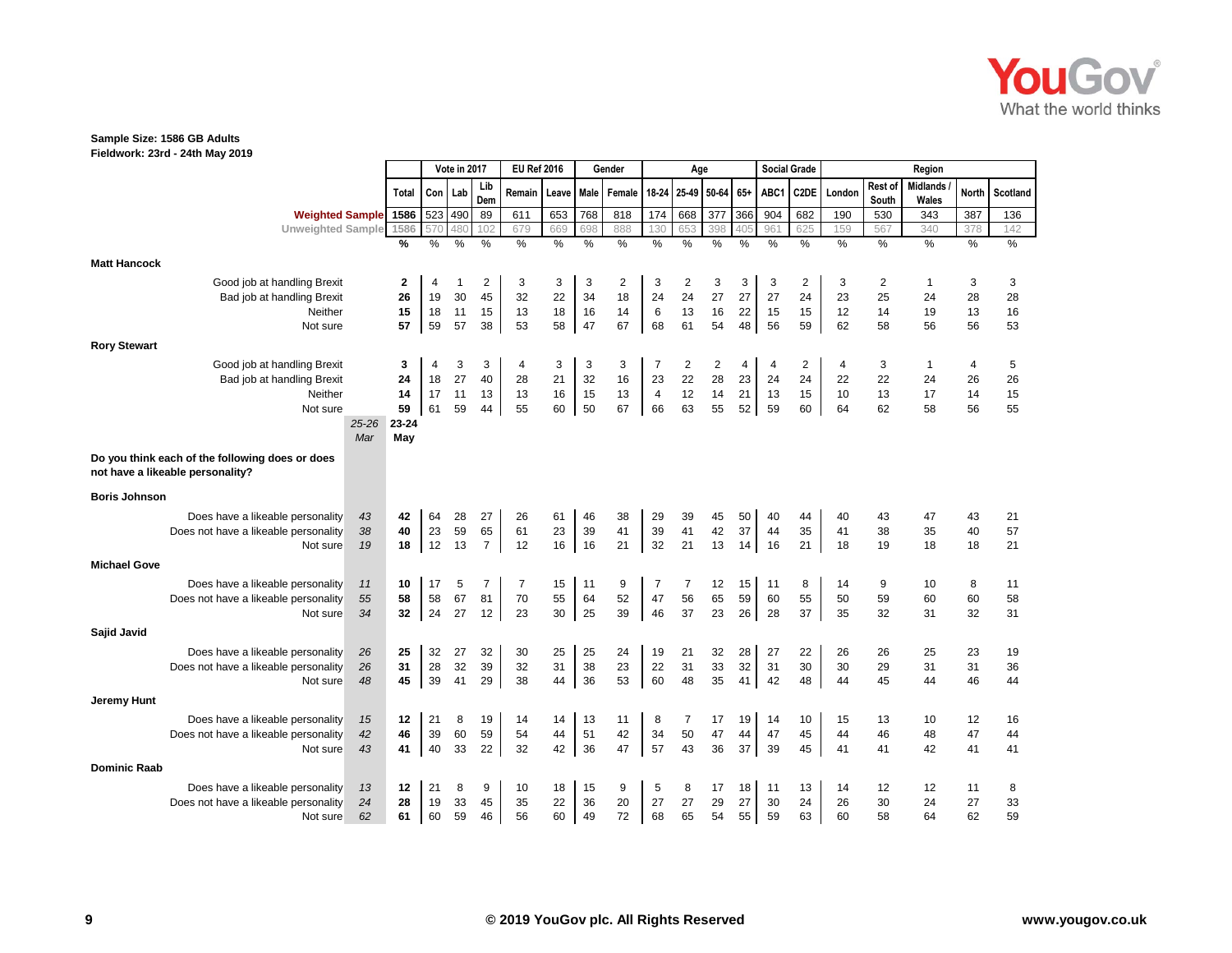

**Fieldwork: 23rd - 24th May 2019**

|                                                                                     |          |              |           | Vote in 2017 |                | <b>EU Ref 2016</b> |          |      | Gender      |                | Age |                 |          |          | <b>Social Grade</b> |          |                  | Region                   |              |                 |
|-------------------------------------------------------------------------------------|----------|--------------|-----------|--------------|----------------|--------------------|----------|------|-------------|----------------|-----|-----------------|----------|----------|---------------------|----------|------------------|--------------------------|--------------|-----------------|
|                                                                                     |          | <b>Total</b> | Con   Lab |              | Lib<br>Dem     | Remain             | Leave    |      | Male Female | 18-24          |     | 25-49 50-64 65+ |          | ABC1     | C2DE                | London   | Rest of<br>South | <b>Midlands</b><br>Wales | <b>North</b> | <b>Scotland</b> |
| <b>Weighted Sample</b>                                                              |          | 1586         | 523       | 490          | 89             | 611                | 653      | 768  | 818         | 174            | 668 | 377             | 366      | 904      | 682                 | 190      | 530              | 343                      | 387          | 136             |
| <b>Unweighted Sample</b>                                                            |          | 1586         | 570       | 480          | 102            | 679                | 669      | 698  | 888         | 130            | 653 | 398             | 405      | 961      | 625                 | 159      | 567              | 340                      | 378          | 142             |
|                                                                                     |          | %            | $\%$      | %            | %              | $\%$               | %        | $\%$ | $\%$        | $\%$           | %   | %               | %        | $\%$     | $\%$                | $\%$     | %                | $\%$                     | %            | $\frac{0}{6}$   |
| <b>Matt Hancock</b>                                                                 |          |              |           |              |                |                    |          |      |             |                |     |                 |          |          |                     |          |                  |                          |              |                 |
| Good job at handling Brexit                                                         |          | 2            | 4         | 1            | 2              | 3                  | 3        | 3    | 2           | 3              | 2   | 3               | 3        | 3        | $\overline{2}$      | 3        | 2                | $\mathbf{1}$             | 3            | 3               |
| Bad job at handling Brexit                                                          |          | 26           | 19        | 30           | 45             | 32                 | 22       | 34   | 18          | 24             | 24  | 27              | 27       | 27       | 24                  | 23       | 25               | 24                       | 28           | 28              |
| Neither                                                                             |          | 15           | 18        | 11           | 15             | 13                 | 18       | 16   | 14          | $\,6$          | 13  | 16              | 22       | 15       | 15                  | 12       | 14               | 19                       | 13           | 16              |
| Not sure                                                                            |          | 57           | 59        | 57           | 38             | 53                 | 58       | 47   | 67          | 68             | 61  | 54              | 48       | 56       | 59                  | 62       | 58               | 56                       | 56           | 53              |
| <b>Rory Stewart</b>                                                                 |          |              |           |              |                |                    |          |      |             |                |     |                 |          |          |                     |          |                  |                          |              |                 |
| Good job at handling Brexit                                                         |          | 3            | 4         | 3            | 3              | 4                  | 3        | 3    | 3           | 7              | 2   | 2               | 4        | 4        | 2                   | 4        | 3                | $\mathbf{1}$             | 4            | 5               |
| Bad job at handling Brexit                                                          |          | 24           | 18        | 27           | 40             | 28                 | 21       | 32   | 16          | 23             | 22  | 28              | 23       | 24       | 24                  | 22       | 22               | 24                       | 26           | 26              |
| Neither                                                                             |          | 14           | 17        | 11           | 13             | 13                 | 16       | 15   | 13          | $\overline{4}$ | 12  | 14              | 21       | 13       | 15                  | 10       | 13               | 17                       | 14           | 15              |
| Not sure                                                                            |          | 59           | 61        | 59           | 44             | 55                 | 60       | 50   | 67          | 66             | 63  | 55              | 52       | 59       | 60                  | 64       | 62               | 58                       | 56           | 55              |
|                                                                                     | 25-26    | 23-24        |           |              |                |                    |          |      |             |                |     |                 |          |          |                     |          |                  |                          |              |                 |
|                                                                                     | Mar      | May          |           |              |                |                    |          |      |             |                |     |                 |          |          |                     |          |                  |                          |              |                 |
| Do you think each of the following does or does<br>not have a likeable personality? |          |              |           |              |                |                    |          |      |             |                |     |                 |          |          |                     |          |                  |                          |              |                 |
| <b>Boris Johnson</b>                                                                |          |              |           |              |                |                    |          |      |             |                |     |                 |          |          |                     |          |                  |                          |              |                 |
| Does have a likeable personality                                                    | 43       | 42           | 64        | 28           | 27             | 26                 | 61       | 46   | 38          | 29             | 39  | 45              | 50       | 40       | 44                  | 40       | 43               | 47                       | 43           | 21              |
| Does not have a likeable personality                                                | 38       | 40           | 23        | 59           | 65             | 61                 | 23       | 39   | 41          | 39             | 41  | 42              | 37       | 44       | 35                  | 41       | 38               | 35                       | 40           | 57              |
| Not sure                                                                            | 19       | 18           | 12        | 13           | $\overline{7}$ | 12                 | 16       | 16   | 21          | 32             | 21  | 13              | 14       | 16       | 21                  | 18       | 19               | 18                       | 18           | 21              |
| <b>Michael Gove</b>                                                                 |          |              |           |              |                |                    |          |      |             |                |     |                 |          |          |                     |          |                  |                          |              |                 |
|                                                                                     |          |              |           |              |                |                    |          | 11   |             | $\overline{7}$ | 7   |                 |          |          |                     |          |                  | 10                       | 8            |                 |
| Does have a likeable personality<br>Does not have a likeable personality            | 11<br>55 | 10<br>58     | 17<br>58  | 5<br>67      | 7<br>81        | 7<br>70            | 15<br>55 | 64   | 9<br>52     | 47             | 56  | 12<br>65        | 15<br>59 | 11<br>60 | 8<br>55             | 14<br>50 | 9<br>59          | 60                       | 60           | 11<br>58        |
| Not sure                                                                            | 34       | 32           | 24        | 27           | 12             | 23                 | 30       | 25   | 39          | 46             | 37  | 23              | 26       | 28       | 37                  | 35       | 32               | 31                       | 32           | 31              |
| Sajid Javid                                                                         |          |              |           |              |                |                    |          |      |             |                |     |                 |          |          |                     |          |                  |                          |              |                 |
| Does have a likeable personality                                                    | 26       | 25           | 32        | 27           | 32             | 30                 | 25       | 25   | 24          | 19             | 21  | 32              | 28       | 27       | 22                  | 26       | 26               | 25                       | 23           | 19              |
| Does not have a likeable personality                                                | 26       | 31           | 28        | 32           | 39             | 32                 | 31       | 38   | 23          | 22             | 31  | 33              | 32       | 31       | 30                  | 30       | 29               | 31                       | 31           | 36              |
| Not sure                                                                            | 48       | 45           | 39        | 41           | 29             | 38                 | 44       | 36   | 53          | 60             | 48  | 35              | 41       | 42       | 48                  | 44       | 45               | 44                       | 46           | 44              |
|                                                                                     |          |              |           |              |                |                    |          |      |             |                |     |                 |          |          |                     |          |                  |                          |              |                 |
| Jeremy Hunt                                                                         |          |              |           |              |                |                    |          |      |             |                |     |                 |          |          |                     |          |                  |                          |              |                 |
| Does have a likeable personality                                                    | 15       | 12           | 21        | 8            | 19             | 14                 | 14       | 13   | 11          | 8              | 7   | 17              | 19       | 14       | 10                  | 15       | 13               | 10                       | 12           | 16              |
| Does not have a likeable personality                                                | 42       | 46           | 39        | 60           | 59             | 54                 | 44       | 51   | 42          | 34             | 50  | 47              | 44       | 47       | 45                  | 44       | 46               | 48                       | 47           | 44              |
| Not sure                                                                            | 43       | 41           | 40        | 33           | 22             | 32                 | 42       | 36   | 47          | 57             | 43  | 36              | 37       | 39       | 45                  | 41       | 41               | 42                       | 41           | 41              |
| <b>Dominic Raab</b>                                                                 |          |              |           |              |                |                    |          |      |             |                |     |                 |          |          |                     |          |                  |                          |              |                 |
| Does have a likeable personality                                                    | 13       | 12           | 21        | 8            | 9              | 10                 | 18       | 15   | 9           | 5              | 8   | 17              | 18       | 11       | 13                  | 14       | 12               | 12                       | 11           | 8               |
| Does not have a likeable personality                                                | 24       | 28           | 19        | 33           | 45             | 35                 | 22       | 36   | 20          | 27             | 27  | 29              | 27       | 30       | 24                  | 26       | 30               | 24                       | 27           | 33              |
| Not sure                                                                            | 62       | 61           | 60        | 59           | 46             | 56                 | 60       | 49   | 72          | 68             | 65  | 54              | 55       | 59       | 63                  | 60       | 58               | 64                       | 62           | 59              |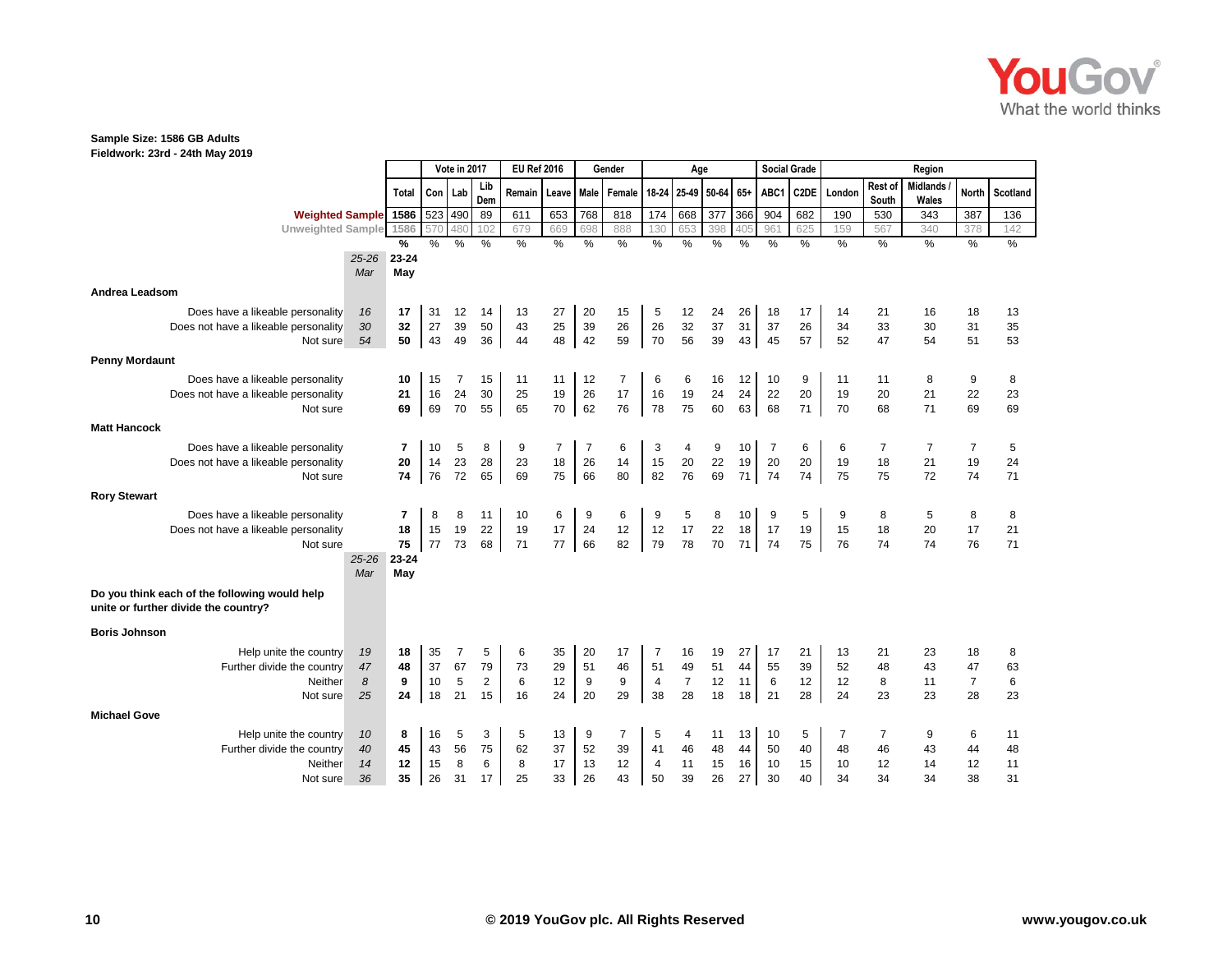

**Fieldwork: 23rd - 24th May 2019**

|                                                                                       |           |                         |          | Vote in 2017 |                | <b>EU Ref 2016</b> |                |          | Gender   |                      | Age            |             |               |          | <b>Social Grade</b> |                |                  | Region                   |                |          |
|---------------------------------------------------------------------------------------|-----------|-------------------------|----------|--------------|----------------|--------------------|----------------|----------|----------|----------------------|----------------|-------------|---------------|----------|---------------------|----------------|------------------|--------------------------|----------------|----------|
|                                                                                       |           | Total                   | Con Lab  |              | Lib<br>Dem     | Remain             | Leave Male     |          | Female   | 18-24                |                | 25-49 50-64 | 65+           | ABC1     | C2DE                | London         | Rest of<br>South | <b>Midlands</b><br>Wales | <b>North</b>   | Scotland |
| <b>Weighted Sample</b>                                                                |           | 1586                    | 523 490  |              | 89             | 611                | 653            | 768      | 818      | $\frac{1}{174}$      | 668            | 377         | 366           | 904      | 682                 | 190            | 530              | 343                      | 387            | 136      |
| <b>Unweighted Sample</b>                                                              |           | 1586                    | 570      | 480          | 102            | 679                | 669            | 698      | 888      | 130                  | 653            | 398         | 405           | 961      | 625                 | 159            | 567              | 340                      | 378            | 142      |
|                                                                                       |           | %                       | $\%$     | $\%$         | %              | $\%$               | $\%$           | %        | $\%$     | $\frac{0}{0}$        | $\%$           | $\%$        | $\frac{0}{0}$ | $\%$     | $\%$                | $\%$           | $\%$             | $\%$                     | $\%$           | $\%$     |
|                                                                                       | $25 - 26$ | 23-24                   |          |              |                |                    |                |          |          |                      |                |             |               |          |                     |                |                  |                          |                |          |
|                                                                                       | Mar       | May                     |          |              |                |                    |                |          |          |                      |                |             |               |          |                     |                |                  |                          |                |          |
| <b>Andrea Leadsom</b>                                                                 |           |                         |          |              |                |                    |                |          |          |                      |                |             |               |          |                     |                |                  |                          |                |          |
| Does have a likeable personality                                                      | 16        | 17                      | 31       | 12           | 14             | 13                 | 27             | 20       | 15       | 5                    | 12             | 24          | 26            | 18       | 17                  | 14             | 21               | 16                       | 18             | 13       |
| Does not have a likeable personality                                                  | 30        | 32                      | 27       | 39           | 50             | 43                 | 25             | 39       | 26       | 26                   | 32             | 37          | 31            | 37       | 26                  | 34             | 33               | 30                       | 31             | 35       |
| Not sure                                                                              | 54        | 50                      | 43       | 49           | 36             | 44                 | 48             | 42       | 59       | 70                   | 56             | 39          | 43            | 45       | 57                  | 52             | 47               | 54                       | 51             | 53       |
| <b>Penny Mordaunt</b>                                                                 |           |                         |          |              |                |                    |                |          |          |                      |                |             |               |          |                     |                |                  |                          |                |          |
| Does have a likeable personality                                                      |           | 10                      | 15       | 7            | 15             | 11                 | 11             | 12       | 7        | 6                    | 6              |             | 12            | 10       | 9                   | 11             | 11               | 8                        | 9              | 8        |
| Does not have a likeable personality                                                  |           | 21                      | 16       | 24           | 30             | 25                 | 19             | 26       | 17       | 16                   | 19             | 16<br>24    | 24            | 22       | 20                  | 19             | 20               | 21                       | 22             | 23       |
| Not sure                                                                              |           | 69                      | 69       | 70           | 55             | 65                 | 70             | 62       | 76       | 78                   | 75             | 60          | 63            | 68       | 71                  | 70             | 68               | 71                       | 69             | 69       |
| <b>Matt Hancock</b>                                                                   |           |                         |          |              |                |                    |                |          |          |                      |                |             |               |          |                     |                |                  |                          |                |          |
|                                                                                       |           |                         |          |              |                |                    |                |          |          |                      |                |             |               |          |                     |                |                  |                          |                |          |
| Does have a likeable personality                                                      |           | $\overline{\mathbf{r}}$ | 10       | 5            | 8              | 9                  | $\overline{7}$ | 7        | 6        | 3                    | 4              | 9           | 10            | 7        | 6                   | 6              | 7                | $\overline{7}$           | $\overline{7}$ | 5        |
| Does not have a likeable personality                                                  |           | 20                      | 14       | 23           | 28             | 23                 | $18$           | 26       | 14       | 15                   | $20\,$         | 22          | 19            | 20       | 20                  | 19             | 18               | 21                       | 19             | 24       |
| Not sure                                                                              |           | 74                      | 76       | 72           | 65             | 69                 | 75             | 66       | 80       | 82                   | 76             | 69          | 71            | 74       | 74                  | 75             | 75               | 72                       | 74             | 71       |
| <b>Rory Stewart</b>                                                                   |           |                         |          |              |                |                    |                |          |          |                      |                |             |               |          |                     |                |                  |                          |                |          |
| Does have a likeable personality                                                      |           | $\overline{7}$          | 8        | 8            | 11             | 10                 | 6              | 9        | 6        | 9                    | 5              | 8           | 10            | 9        | 5                   | 9              | 8                | 5                        | 8              | 8        |
| Does not have a likeable personality                                                  |           | 18                      | 15       | 19           | 22             | 19                 | 17             | 24       | 12       | 12                   | 17             | 22          | 18            | 17       | 19                  | 15             | 18               | 20                       | 17             | 21       |
| Not sure                                                                              |           | 75                      | 77       | 73           | 68             | 71                 | 77             | 66       | 82       | 79                   | 78             | 70          | 71            | 74       | 75                  | 76             | 74               | 74                       | 76             | 71       |
|                                                                                       | $25 - 26$ | 23-24                   |          |              |                |                    |                |          |          |                      |                |             |               |          |                     |                |                  |                          |                |          |
|                                                                                       | Mar       | May                     |          |              |                |                    |                |          |          |                      |                |             |               |          |                     |                |                  |                          |                |          |
| Do you think each of the following would help<br>unite or further divide the country? |           |                         |          |              |                |                    |                |          |          |                      |                |             |               |          |                     |                |                  |                          |                |          |
| <b>Boris Johnson</b>                                                                  |           |                         |          |              |                |                    |                |          |          |                      |                |             |               |          |                     |                |                  |                          |                |          |
| Help unite the country                                                                | 19        | 18                      | 35       | 7            | 5              | 6                  | 35             | 20       | 17       | 7                    | 16             | 19          | 27            | 17       | 21                  | 13             | 21               | 23                       | 18             | 8        |
| Further divide the country                                                            | 47        | 48                      | 37       | 67           | 79             | 73                 | 29             | 51       | 46       | 51                   | 49             | 51          | 44            | 55       | 39                  | 52             | 48               | 43                       | 47             | 63       |
| Neither                                                                               | 8         | 9                       | 10       | 5            | $\overline{2}$ | 6                  | 12             | 9        | 9        | $\overline{4}$       | $\overline{7}$ | 12          | 11            | 6        | 12                  | 12             | 8                | 11                       | $\overline{7}$ | 6        |
| Not sure                                                                              | 25        | 24                      | 18       | 21           | 15             | 16                 | 24             | 20       | 29       | 38                   | 28             | 18          | 18            | 21       | 28                  | 24             | 23               | 23                       | 28             | 23       |
| <b>Michael Gove</b>                                                                   |           |                         |          |              |                |                    |                |          |          |                      |                |             |               |          |                     |                |                  |                          |                |          |
|                                                                                       |           |                         |          |              |                |                    |                |          |          |                      |                |             |               |          |                     |                |                  |                          |                |          |
| Help unite the country                                                                | 10        | 8                       | 16       | 5            | 3              | 5                  | 13             | 9        | 7        | 5                    | 4              | 11          | 13            | 10       | 5                   | $\overline{7}$ | 7                | 9                        | 6              | 11       |
| Further divide the country<br>Neither                                                 | 40<br>14  | 45<br>12                | 43<br>15 | 56<br>8      | 75<br>6        | 62<br>8            | 37<br>17       | 52<br>13 | 39<br>12 | 41<br>$\overline{4}$ | 46<br>11       | 48<br>15    | 44<br>16      | 50<br>10 | 40<br>15            | 48<br>10       | 46<br>12         | 43<br>14                 | 44<br>12       | 48<br>11 |
| Not sure                                                                              | 36        | 35                      | 26       | 31           | 17             | 25                 | 33             | 26       | 43       | 50                   | 39             | 26          | 27            | 30       | 40                  | 34             | 34               | 34                       | 38             | 31       |
|                                                                                       |           |                         |          |              |                |                    |                |          |          |                      |                |             |               |          |                     |                |                  |                          |                |          |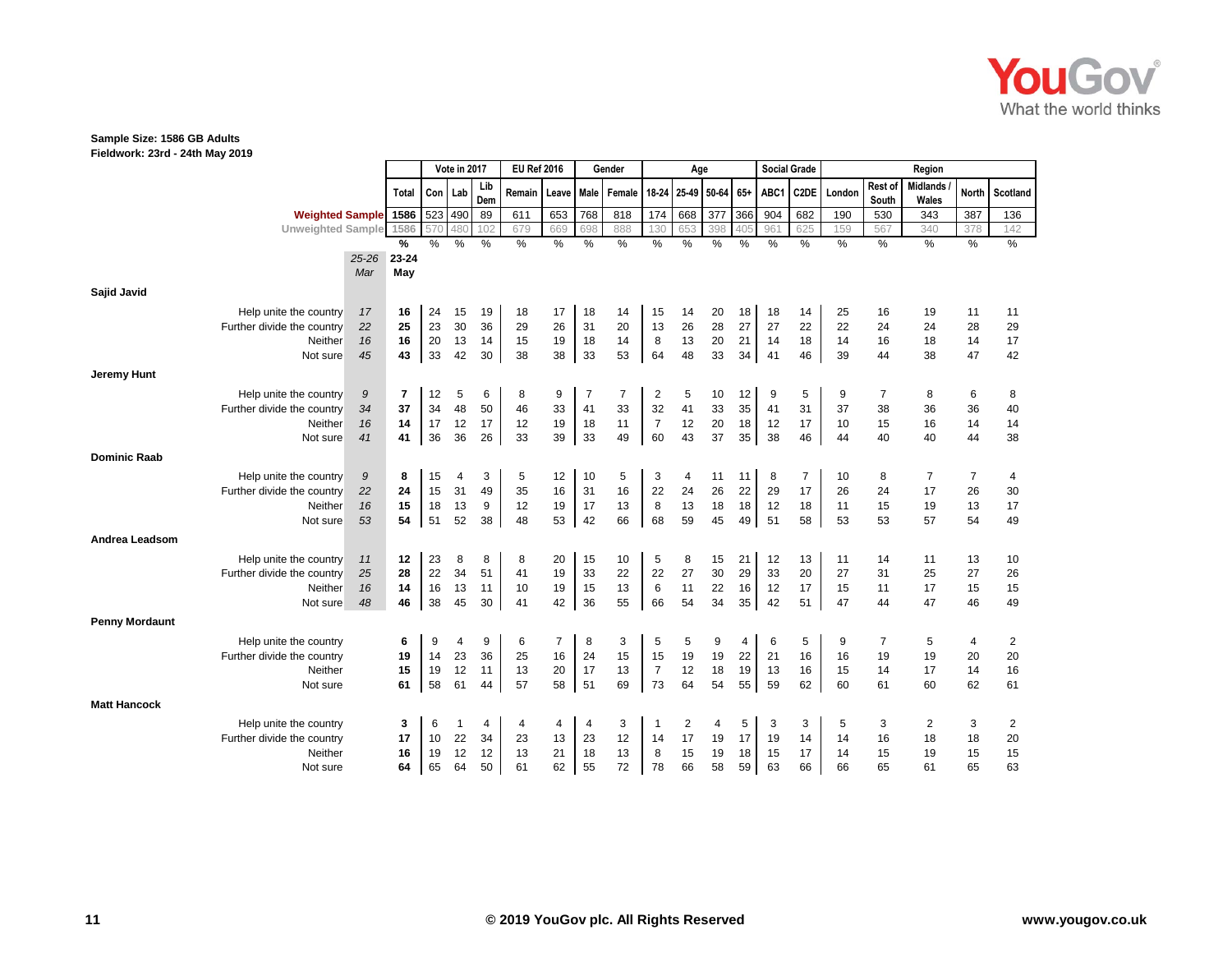

**Fieldwork: 23rd - 24th May 2019**

|                       |                                       |           | Vote in 2017 |                  |          | <b>EU Ref 2016</b> |               |                | Gender        |          | Age            |               |          |          | <b>Social Grade</b> |               |          | Region           |                          |          |            |
|-----------------------|---------------------------------------|-----------|--------------|------------------|----------|--------------------|---------------|----------------|---------------|----------|----------------|---------------|----------|----------|---------------------|---------------|----------|------------------|--------------------------|----------|------------|
|                       |                                       |           | <b>Total</b> | Con <sub>1</sub> | Lab      | Lib<br>Dem         | <b>Remain</b> | Leave          | Male          | Female   | 18 24          | 25-49         | 50-64    | $65+$    | ABC1                | C2DE          | London   | Rest of<br>South | <b>Midlands</b><br>Wales | North    | I Scotland |
|                       | <b>Weighted Sample</b>                |           | 1586         | 523              | 490      | 89                 | 611           | 653            | 768           | 818      | 174            | 668           | 377      | 366      | 904                 | 682           | 190      | 530              | 343                      | 387      | 136        |
|                       | <b>Unweighted Sample</b>              |           | 1586         | 57C              | 48       | 102                | 679           | 669            | 698           | 888      | 130            | 653           | 398      | 405      | 961                 | 625           | 159      | 567              | 340                      | 378      | 142        |
|                       |                                       |           | %            | %                | %        | %                  | $\frac{0}{0}$ | $\%$           | $\frac{0}{0}$ | $\%$     | $\%$           | $\frac{0}{0}$ | $\%$     | %        | $\%$                | $\frac{9}{6}$ | $\%$     | $\%$             | %                        | $\%$     | $\%$       |
|                       |                                       | $25 - 26$ | $23 - 24$    |                  |          |                    |               |                |               |          |                |               |          |          |                     |               |          |                  |                          |          |            |
|                       |                                       | Mar       | May          |                  |          |                    |               |                |               |          |                |               |          |          |                     |               |          |                  |                          |          |            |
| Sajid Javid           |                                       |           |              |                  |          |                    |               |                |               |          |                |               |          |          |                     |               |          |                  |                          |          |            |
|                       | Help unite the country                | 17        | 16           | 24               | 15       | 19                 | 18            | 17             | 18            | 14       | 15             | 14            | 20       | 18       | 18                  | 14            | 25       | 16               | 19                       | 11       | 11         |
|                       | Further divide the country            | 22        | 25           | 23               | 30       | 36                 | 29            | 26             | 31            | 20       | 13             | 26            | 28       | 27       | 27                  | 22            | 22       | 24               | 24                       | 28       | 29         |
|                       | Neither                               | 16        | 16           | 20               | 13       | 14                 | 15            | 19             | 18            | 14       | 8              | 13            | 20       | 21       | 14                  | 18            | 14       | 16               | 18                       | 14       | 17         |
|                       | Not sure                              | 45        | 43           | 33               | 42       | 30                 | 38            | 38             | 33            | 53       | 64             | 48            | 33       | 34       | 41                  | 46            | 39       | 44               | 38                       | 47       | 42         |
| Jeremy Hunt           |                                       |           |              |                  |          |                    |               |                |               |          |                |               |          |          |                     |               |          |                  |                          |          |            |
|                       | Help unite the country                | 9         | 7            | 12               | 5        | 6                  | 8             | 9              | 7             | 7        | 2              | 5             | 10       | 12       | 9                   | 5             | 9        | 7                | 8                        | 6        | 8          |
|                       | Further divide the country            | 34        | 37           | 34               | 48       | 50                 | 46            | 33             | 41            | 33       | 32             | 41            | 33       | 35       | 41                  | 31            | 37       | 38               | 36                       | 36       | 40         |
|                       | Neither                               | 16        | 14           | 17               | 12       | 17                 | 12            | 19             | 18            | 11       | $\overline{7}$ | 12            | 20       | 18       | 12                  | 17            | 10       | 15               | 16                       | 14       | 14         |
|                       | Not sure                              | 41        | 41           | 36               | 36       | 26                 | 33            | 39             | 33            | 49       | 60             | 43            | 37       | 35       | 38                  | 46            | 44       | 40               | 40                       | 44       | 38         |
| <b>Dominic Raab</b>   |                                       |           |              |                  |          |                    |               |                |               |          |                |               |          |          |                     |               |          |                  |                          |          |            |
|                       |                                       |           |              |                  |          |                    |               |                |               |          |                |               |          |          |                     |               |          |                  |                          |          |            |
|                       | Help unite the country                | 9         | 8            | 15               | 4        | 3                  | 5             | 12             | 10            | 5        | 3              | 4             | 11       | 11       | 8                   | 7             | 10       | 8                | $\overline{7}$           | 7        | 4          |
|                       | Further divide the country<br>Neither | 22<br>16  | 24<br>15     | 15<br>18         | 31<br>13 | 49<br>9            | 35<br>12      | 16<br>19       | 31<br>17      | 16<br>13 | 22<br>8        | 24<br>13      | 26<br>18 | 22<br>18 | 29<br>12            | 17<br>18      | 26<br>11 | 24<br>15         | 17<br>19                 | 26<br>13 | 30<br>17   |
|                       | Not sure                              | 53        | 54           | 51               | 52       | 38                 | 48            | 53             | 42            | 66       | 68             | 59            | 45       | 49       | 51                  | 58            | 53       | 53               | 57                       | 54       | 49         |
|                       |                                       |           |              |                  |          |                    |               |                |               |          |                |               |          |          |                     |               |          |                  |                          |          |            |
| Andrea Leadsom        |                                       |           |              |                  |          |                    |               |                |               |          |                |               |          |          |                     |               |          |                  |                          |          |            |
|                       | Help unite the country                | 11        | 12           | 23               | 8        | 8                  | 8             | 20             | 15            | 10       | 5              | 8             | 15       | 21       | 12                  | 13            | 11       | 14               | 11                       | 13       | 10         |
|                       | Further divide the country            | 25        | 28           | 22               | 34       | 51                 | 41            | 19             | 33            | 22       | 22             | 27            | 30       | 29       | 33                  | 20            | 27       | 31               | 25                       | 27       | 26         |
|                       | Neither                               | 16        | 14           | 16               | 13       | 11                 | 10            | 19             | 15            | 13       | 6              | 11<br>54      | 22<br>34 | 16       | 12<br>42            | 17            | 15       | 11               | 17<br>47                 | 15       | 15         |
|                       | Not sure                              | 48        | 46           | 38               | 45       | 30                 | 41            | 42             | 36            | 55       | 66             |               |          | 35       |                     | 51            | 47       | 44               |                          | 46       | 49         |
| <b>Penny Mordaunt</b> |                                       |           |              |                  |          |                    |               |                |               |          |                |               |          |          |                     |               |          |                  |                          |          |            |
|                       | Help unite the country                |           | 6            | 9                | 4        | 9                  | 6             | $\overline{7}$ | 8             | 3        | 5              | 5             | 9        | 4        | 6                   | 5             | 9        | $\overline{7}$   | 5                        | 4        | 2          |
|                       | Further divide the country            |           | 19           | 14               | 23       | 36                 | 25            | 16             | 24            | 15       | 15             | 19            | 19       | 22       | 21                  | 16            | 16       | 19               | 19                       | 20       | 20         |
|                       | Neither                               |           | 15           | 19               | 12       | 11                 | 13            | 20             | 17            | 13       | $\overline{7}$ | 12            | 18       | 19       | 13                  | 16            | 15       | 14               | 17                       | 14       | 16         |
|                       | Not sure                              |           | 61           | 58               | 61       | 44                 | 57            | 58             | 51            | 69       | 73             | 64            | 54       | 55       | 59                  | 62            | 60       | 61               | 60                       | 62       | 61         |
| <b>Matt Hancock</b>   |                                       |           |              |                  |          |                    |               |                |               |          |                |               |          |          |                     |               |          |                  |                          |          |            |
|                       | Help unite the country                |           | 3            | 6                |          | 4                  | 4             | 4              | 4             | 3        | -1             | 2             | 4        | 5        | 3                   | 3             | 5        | 3                | $\overline{2}$           | 3        | 2          |
|                       | Further divide the country            |           | 17           | 10               | 22       | 34                 | 23            | 13             | 23            | 12       | 14             | 17            | 19       | 17       | 19                  | 14            | 14       | 16               | 18                       | 18       | 20         |
|                       | Neither                               |           | 16           | 19               | 12       | 12                 | 13            | 21             | 18            | 13       | 8              | 15            | 19       | 18       | 15                  | 17            | 14       | 15               | 19                       | 15       | 15         |
|                       | Not sure                              |           | 64           | 65               | 64       | 50                 | 61            | 62             | 55            | 72       | 78             | 66            | 58       | 59       | 63                  | 66            | 66       | 65               | 61                       | 65       | 63         |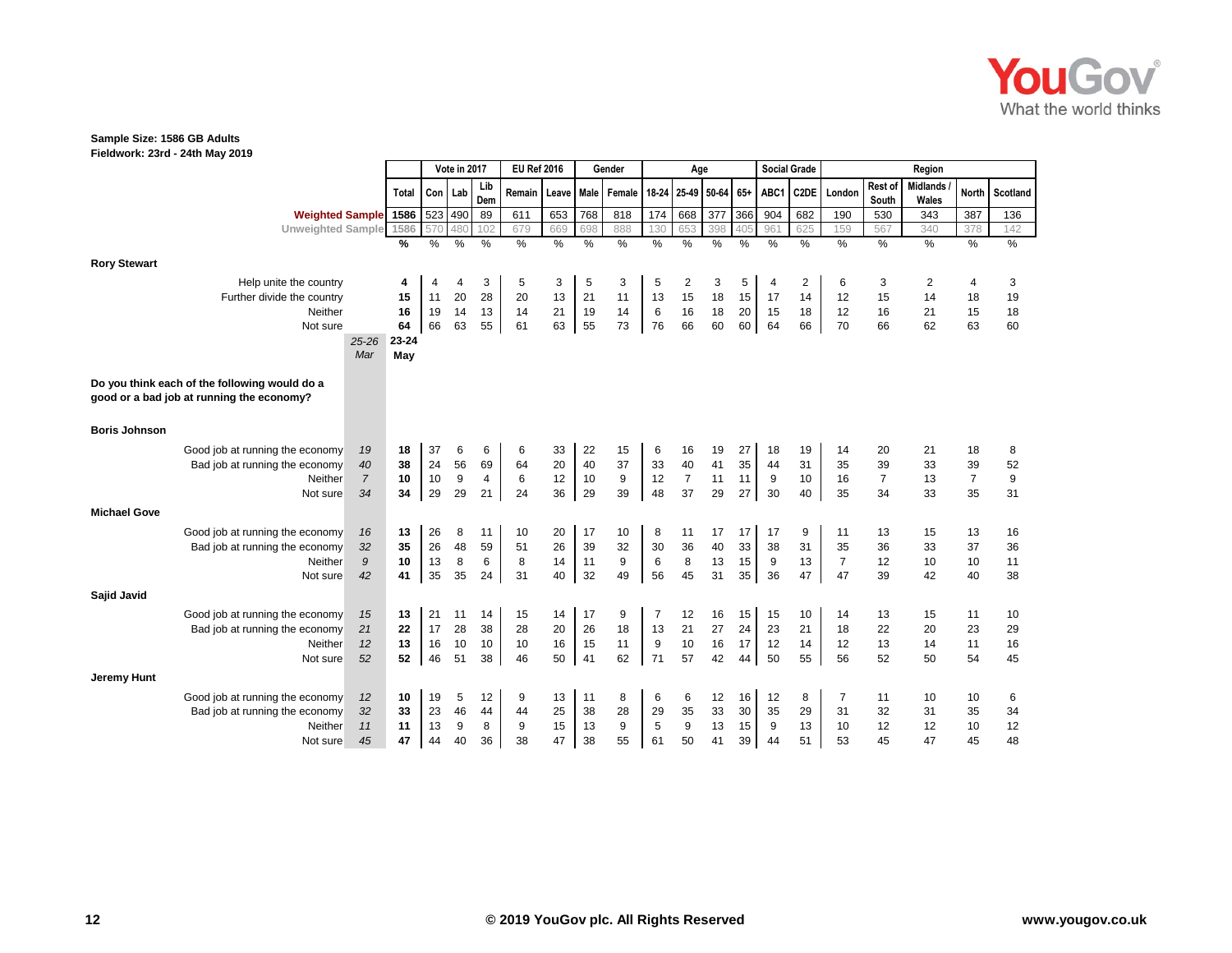

**Fieldwork: 23rd - 24th May 2019**

|                      |                                               |                |              |      | Vote in 2017 |            | <b>EU Ref 2016</b> |        |      | Gender            |       | Age            |                 |     |      | <b>Social Grade</b> |                |                  | Region                   |                |                  |
|----------------------|-----------------------------------------------|----------------|--------------|------|--------------|------------|--------------------|--------|------|-------------------|-------|----------------|-----------------|-----|------|---------------------|----------------|------------------|--------------------------|----------------|------------------|
|                      |                                               |                | <b>Total</b> | Con  | Lab          | Lib<br>Dem | Remain             | Leave  |      | Male Female 18-24 |       |                | 25-49 50-64 65+ |     | ABC1 | C2DE                | London         | Rest of<br>South | <b>Midlands</b><br>Wales | <b>North</b>   | Scotland         |
|                      | <b>Weighted Sample</b> 1586                   |                |              |      | 523 490      | 89         | 611                | 653    | 768  | 818               | 174   | 668            | 377             | 366 | 904  | 682                 | 190            | 530              | 343                      | 387            | 136              |
|                      | <b>Unweighted Sample</b>                      |                | 1586         | 570  | 480          | 102        | 679                | 669    | 698  | 888               | 130   | 653            | 398             | 405 | 961  | 625                 | 159            | 567              | 340                      | 378            | 142              |
|                      |                                               |                | %            | $\%$ | %            | $\%$       | %                  | $\%$   | $\%$ | %                 | $\%$  | %              | %               | %   | $\%$ | $\%$                | $\frac{0}{6}$  | $\frac{0}{6}$    | $\frac{9}{6}$            | $\%$           | $\%$             |
| <b>Rory Stewart</b>  |                                               |                |              |      |              |            |                    |        |      |                   |       |                |                 |     |      |                     |                |                  |                          |                |                  |
|                      | Help unite the country                        |                | 4            | 4    | 4            | 3          | 5                  | 3      | 5    | 3                 | 5     | 2              | 3               | 5   | 4    | $\overline{c}$      | 6              | 3                | 2                        | 4              | 3                |
|                      | Further divide the country                    |                | 15           | 11   | 20           | 28         | 20                 | 13     | 21   | 11                | 13    | 15             | 18              | 15  | 17   | 14                  | 12             | 15               | 14                       | 18             | 19               |
|                      | Neither                                       |                | 16           | 19   | 14           | 13         | 14                 | 21     | 19   | 14                | $\,6$ | 16             | 18              | 20  | 15   | 18                  | 12             | 16               | 21                       | 15             | 18               |
|                      | Not sure                                      |                | 64           | 66   | 63           | 55         | 61                 | 63     | 55   | 73                | 76    | 66             | 60              | 60  | 64   | 66                  | 70             | 66               | 62                       | 63             | 60               |
|                      |                                               | $25 - 26$      | 23-24        |      |              |            |                    |        |      |                   |       |                |                 |     |      |                     |                |                  |                          |                |                  |
|                      |                                               | Mar            | May          |      |              |            |                    |        |      |                   |       |                |                 |     |      |                     |                |                  |                          |                |                  |
|                      |                                               |                |              |      |              |            |                    |        |      |                   |       |                |                 |     |      |                     |                |                  |                          |                |                  |
|                      | Do you think each of the following would do a |                |              |      |              |            |                    |        |      |                   |       |                |                 |     |      |                     |                |                  |                          |                |                  |
|                      | good or a bad job at running the economy?     |                |              |      |              |            |                    |        |      |                   |       |                |                 |     |      |                     |                |                  |                          |                |                  |
|                      |                                               |                |              |      |              |            |                    |        |      |                   |       |                |                 |     |      |                     |                |                  |                          |                |                  |
| <b>Boris Johnson</b> |                                               |                |              |      |              |            |                    |        |      |                   |       |                |                 |     |      |                     |                |                  |                          |                |                  |
|                      | Good job at running the economy               | 19             | 18           | 37   | 6            | 6          | 6                  | 33     | 22   | 15                | 6     | 16             | 19              | 27  | 18   | 19                  | 14             | 20               | 21                       | 18             | 8                |
|                      | Bad job at running the economy                | 40             | 38           | 24   | 56           | 69         | 64                 | $20\,$ | 40   | 37                | 33    | 40             | 41              | 35  | 44   | 31                  | 35             | 39               | 33                       | 39             | 52               |
|                      | Neither                                       | $\overline{7}$ | 10           | 10   | 9            | 4          | 6                  | 12     | $10$ | 9                 | 12    | $\overline{7}$ | 11              | 11  | 9    | 10                  | 16             | $\overline{7}$   | 13                       | $\overline{7}$ | $\boldsymbol{9}$ |
|                      | Not sure                                      | 34             | 34           | 29   | 29           | 21         | 24                 | 36     | 29   | 39                | 48    | 37             | 29              | 27  | 30   | 40                  | 35             | 34               | 33                       | 35             | 31               |
| <b>Michael Gove</b>  |                                               |                |              |      |              |            |                    |        |      |                   |       |                |                 |     |      |                     |                |                  |                          |                |                  |
|                      | Good job at running the economy               | 16             | 13           | 26   | 8            | 11         | 10                 | 20     | 17   | 10                | 8     | 11             | 17              | 17  | 17   | 9                   | 11             | 13               | 15                       | 13             | 16               |
|                      | Bad job at running the economy                | 32             | 35           | 26   | 48           | 59         | 51                 | 26     | 39   | 32                | 30    | 36             | 40              | 33  | 38   | 31                  | 35             | 36               | 33                       | 37             | 36               |
|                      | Neither                                       | 9              | 10           | 13   | 8            | 6          | 8                  | 14     | 11   | $\boldsymbol{9}$  | $\,6$ | 8              | 13              | 15  | 9    | 13                  | $\overline{7}$ | 12               | 10                       | 10             | 11               |
|                      | Not sure                                      | 42             | 41           | 35   | 35           | 24         | 31                 | 40     | 32   | 49                | 56    | 45             | 31              | 35  | 36   | 47                  | 47             | 39               | 42                       | 40             | 38               |
| Sajid Javid          |                                               |                |              |      |              |            |                    |        |      |                   |       |                |                 |     |      |                     |                |                  |                          |                |                  |
|                      |                                               |                |              |      |              |            |                    |        |      |                   |       |                |                 |     |      |                     |                |                  |                          |                |                  |
|                      | Good job at running the economy               | 15             | 13           | 21   | 11           | 14         | 15                 | 14     | 17   | 9                 | 7     | 12             | 16              | 15  | 15   | 10                  | 14             | 13               | 15                       | 11             | 10               |
|                      | Bad job at running the economy                | 21             | 22           | 17   | 28           | 38         | 28                 | 20     | 26   | 18                | 13    | 21             | 27              | 24  | 23   | 21                  | 18             | 22               | 20                       | 23             | 29               |
|                      | Neither                                       | 12             | 13           | 16   | 10           | 10         | 10                 | 16     | 15   | 11                | 9     | 10             | 16              | 17  | 12   | 14                  | 12             | 13               | 14                       | 11             | 16               |
|                      | Not sure                                      | 52             | 52           | 46   | 51           | 38         | 46                 | 50     | 41   | 62                | 71    | 57             | 42              | 44  | 50   | 55                  | 56             | 52               | 50                       | 54             | 45               |
| <b>Jeremy Hunt</b>   |                                               |                |              |      |              |            |                    |        |      |                   |       |                |                 |     |      |                     |                |                  |                          |                |                  |
|                      | Good job at running the economy               | 12             | 10           | 19   | 5            | 12         | 9                  | 13     | 11   | 8                 | 6     | 6              | 12              | 16  | 12   | 8                   | 7              | 11               | 10                       | 10             | 6                |
|                      | Bad job at running the economy                | 32             | 33           | 23   | 46           | 44         | 44                 | 25     | 38   | 28                | 29    | 35             | 33              | 30  | 35   | 29                  | 31             | 32               | 31                       | 35             | 34               |
|                      | Neither                                       | 11             | 11           | 13   | 9            | 8          | 9                  | 15     | 13   | 9                 | 5     | 9              | 13              | 15  | 9    | 13                  | 10             | 12               | 12                       | 10             | 12               |
|                      | Not sure                                      | 45             | 47           | 44   | 40           | 36         | 38                 | 47     | 38   | 55                | 61    | 50             | 41              | 39  | 44   | 51                  | 53             | 45               | 47                       | 45             | 48               |